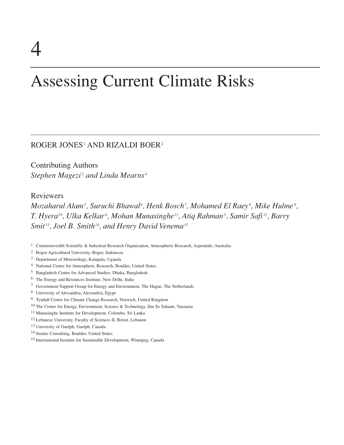# Assessing Current Climate Risks

## ROGER JONES<sup>1</sup> AND RIZALDI BOER<sup>2</sup>

Contributing Authors *Stephen Magezi <sup>3</sup> and Linda Mearns <sup>4</sup>*

### Reviewers

*Mozaharul Alam<sup>5</sup>, Suruchi Bhawal<sup>6</sup>, Henk Bosch<sup>7</sup>, Mohamed El Raey<sup>8</sup>, Mike Hulme<sup>9</sup>, T. Hyera10, Ulka Kelkar <sup>6</sup> , Mohan Munasinghe11, Atiq Rahman5 , Samir Safi 12, Barry Smit 13, Joel B. Smith14, and Henry David Venema15*

- Commonwealth Scientific & Industrial Research Organisation, Atmospheric Research, Aspendale, Australia
- Bogor Agricultural University, Bogor, Indonesia
- Department of Meteorology, Kampala, Uganda
- National Center for Atmospheric Research, Boulder, United States
- Bangladesh Centre for Advanced Studies, Dhaka, Bangladesh
- The Energy and Resources Institute, New Delhi, India
- Government Support Group for Energy and Environment, The Hague, The Netherlands
- University of Alexandria, Alexandria, Egypt
- Tyndall Centre for Climate Change Research, Norwich, United Kingdom
- The Centre for Energy, Environment, Science & Technology, Dar Es Salaam, Tanzania
- Munasinghe Institute for Development, Colombo, Sri Lanka
- Lebanese University, Faculty of Sciences II, Beirut, Lebanon
- University of Guelph, Guelph, Canada
- Stratus Consulting, Boulder, United States
- International Institute for Sustainable Development, Winnipeg, Canada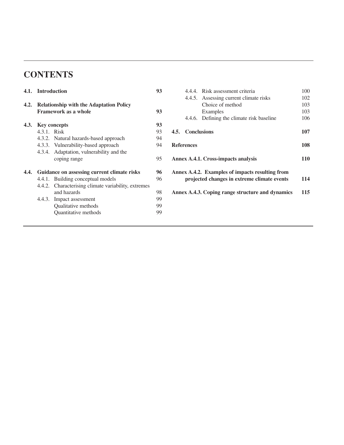# **CONTENTS**

| 4.1. Introduction |                                                     | 93 |  |  |  |  |  |  |  |  |  |  |  |
|-------------------|-----------------------------------------------------|----|--|--|--|--|--|--|--|--|--|--|--|
|                   | 4.2. Relationship with the Adaptation Policy        |    |  |  |  |  |  |  |  |  |  |  |  |
|                   | <b>Framework as a whole</b>                         | 93 |  |  |  |  |  |  |  |  |  |  |  |
|                   | 4.3. Key concepts                                   | 93 |  |  |  |  |  |  |  |  |  |  |  |
| 4.3.1. Risk       |                                                     | 93 |  |  |  |  |  |  |  |  |  |  |  |
|                   | 4.3.2. Natural hazards-based approach               | 94 |  |  |  |  |  |  |  |  |  |  |  |
|                   | 4.3.3. Vulnerability-based approach                 | 94 |  |  |  |  |  |  |  |  |  |  |  |
|                   | 4.3.4. Adaptation, vulnerability and the            |    |  |  |  |  |  |  |  |  |  |  |  |
|                   | coping range                                        | 95 |  |  |  |  |  |  |  |  |  |  |  |
|                   | 4.4. Guidance on assessing current climate risks    | 96 |  |  |  |  |  |  |  |  |  |  |  |
|                   | 4.4.1. Building conceptual models                   | 96 |  |  |  |  |  |  |  |  |  |  |  |
|                   | 4.4.2. Characterising climate variability, extremes |    |  |  |  |  |  |  |  |  |  |  |  |
|                   | and hazards                                         | 98 |  |  |  |  |  |  |  |  |  |  |  |
|                   | 4.4.3. Impact assessment                            | 99 |  |  |  |  |  |  |  |  |  |  |  |
|                   | Qualitative methods                                 | 99 |  |  |  |  |  |  |  |  |  |  |  |
|                   | Quantitative methods                                | 99 |  |  |  |  |  |  |  |  |  |  |  |
|                   |                                                     |    |  |  |  |  |  |  |  |  |  |  |  |

| 4.4.4. Risk assessment criteria                                                                       |                  |                                           |     |  |  |  |  |  |  |
|-------------------------------------------------------------------------------------------------------|------------------|-------------------------------------------|-----|--|--|--|--|--|--|
|                                                                                                       |                  | 4.4.5. Assessing current climate risks    | 102 |  |  |  |  |  |  |
|                                                                                                       |                  | Choice of method                          | 103 |  |  |  |  |  |  |
|                                                                                                       |                  | Examples                                  | 103 |  |  |  |  |  |  |
|                                                                                                       |                  | 4.4.6. Defining the climate risk baseline | 106 |  |  |  |  |  |  |
|                                                                                                       | 4.5. Conclusions |                                           | 107 |  |  |  |  |  |  |
| <b>References</b><br>108                                                                              |                  |                                           |     |  |  |  |  |  |  |
|                                                                                                       |                  | Annex A.4.1. Cross-impacts analysis       | 110 |  |  |  |  |  |  |
| Annex A.4.2. Examples of impacts resulting from<br>projected changes in extreme climate events<br>114 |                  |                                           |     |  |  |  |  |  |  |
| Annex A.4.3. Coping range structure and dynamics<br>115                                               |                  |                                           |     |  |  |  |  |  |  |
|                                                                                                       |                  |                                           |     |  |  |  |  |  |  |
|                                                                                                       |                  |                                           |     |  |  |  |  |  |  |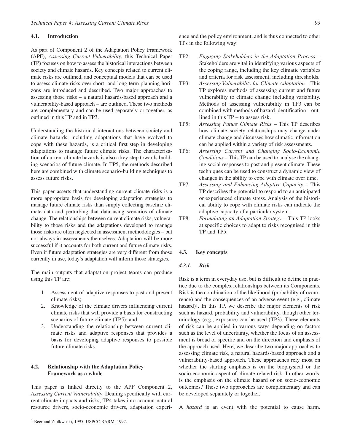#### **4.1. Introduction**

As part of Component 2 of the Adaptation Policy Framework (APF), *Assessing Current Vulnerability*, this Technical Paper (TP) focuses on how to assess the historical interactions between society and climate hazards. Key concepts related to current climate risks are outlined, and conceptual models that can be used to assess climate risks over short- and long-term planning horizons are introduced and described. Two major approaches to assessing those risks – a natural hazards-based approach and a vulnerability-based approach – are outlined. These two methods are complementary and can be used separately or together, as outlined in this TP and in TP3.

Understanding the historical interactions between society and climate hazards, including adaptations that have evolved to cope with these hazards, is a critical first step in developing adaptations to manage future climate risks. The characterisation of current climate hazards is also a key step towards building scenarios of future climate. In TP5, the methods described here are combined with climate scenario-building techniques to assess future risks.

This paper asserts that understanding current climate risks is a more appropriate basis for developing adaptation strategies to manage future climate risks than simply collecting baseline climate data and perturbing that data using scenarios of climate change. The relationships between current climate risks, vulnerability to those risks and the adaptations developed to manage those risks are often neglected in assessment methodologies – but not always in assessments themselves. Adaptation will be more successful if it accounts for both current and future climate risks. Even if future adaptation strategies are very different from those currently in use, today's adaptation will inform those strategies.

The main outputs that adaptation project teams can produce using this TP are:

- 1. Assessment of adaptive responses to past and present climate risks;
- 2. Knowledge of the climate drivers influencing current climate risks that will provide a basis for constructing scenarios of future climate (TP5); and
- 3. Understanding the relationship between current climate risks and adaptive responses that provides a basis for developing adaptive responses to possible future climate risks.

#### **4.2. Relationship with the Adaptation Policy Framework as a whole**

This paper is linked directly to the APF Component 2, *Assessing Current Vulnerability*. Dealing specifically with current climate impacts and risks, TP4 takes into account natural resource drivers, socio-economic drivers, adaptation experience and the policy environment, and is thus connected to other TPs in the following way:

- TP2: *Engaging Stakeholders in the Adaptation Process* Stakeholders are vital in identifying various aspects of the coping range, including the key climatic variables and criteria for risk assessment, including thresholds.
- TP3: *Assessing Vulnerability for Climate Adaptation* This TP explores methods of assessing current and future vulnerability to climate change including variability. Methods of assessing vulnerability in TP3 can be combined with methods of hazard identification – outlined in this TP – to assess risk.
- TP5: *Assessing Future Climate Risks* This TP describes how climate–society relationships may change under climate change and discusses how climatic information can be applied within a variety of risk assessments.
- TP6: *Assessing Current and Changing Socio-Economic Conditions –* This TP can be used to analyse the changing social responses to past and present climate. These techniques can be used to construct a dynamic view of changes in the ability to cope with climate over time.
- TP7: *Assessing and Enhancing Adaptive Capacity* This TP describes the potential to respond to an anticipated or experienced climate stress. Analysis of the historical ability to cope with climate risks can indicate the adaptive capacity of a particular system.
- TP8: *Formulating an Adaptation Strategy* This TP looks at specific choices to adapt to risks recognised in this TP and TP5.

#### **4.3. Key concepts**

#### *4.3.1. Risk*

Risk is a term in everyday use, but is difficult to define in practice due to the complex relationships between its Components. Risk is the combination of the likelihood (probability of occurrence) and the consequences of an adverse event (e.g., climate hazard)<sup>1</sup>. In this TP, we describe the major elements of risk such as hazard, probability and vulnerability, though other terminology (e.g., exposure) can be used (TP3). These elements of risk can be applied in various ways depending on factors such as the level of uncertainty, whether the focus of an assessment is broad or specific and on the direction and emphasis of the approach used. Here, we describe two major approaches to assessing climate risk, a natural hazards-based approach and a vulnerability-based approach. These approaches rely most on whether the starting emphasis is on the biophysical or the socio-economic aspect of climate-related risk. In other words, is the emphasis on the climate hazard or on socio-economic outcomes? These two approaches are complementary and can be developed separately or together.

A *hazard* is an event with the potential to cause harm.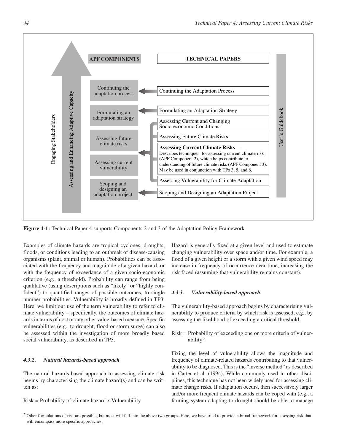

**Figure 4-1:** Technical Paper 4 supports Components 2 and 3 of the Adaptation Policy Framework

Examples of climate hazards are tropical cyclones, droughts, floods, or conditions leading to an outbreak of disease-causing organisms (plant, animal or human). Probabilities can be associated with the frequency and magnitude of a given hazard, or with the frequency of exceedance of a given socio-economic criterion (e.g., a threshold). Probability can range from being qualitative (using descriptions such as "likely" or "highly confident") to quantified ranges of possible outcomes, to single number probabilities. Vulnerability is broadly defined in TP3. Here, we limit our use of the term vulnerability to refer to climate vulnerability – specifically, the outcomes of climate hazards in terms of cost or any other value-based measure. Specific vulnerabilities (e.g., to drought, flood or storm surge) can also be assessed within the investigation of more broadly based social vulnerability, as described in TP3.

#### *4.3.2. Natural hazards-based approach*

The natural hazards-based approach to assessing climate risk begins by characterising the climate hazard(s) and can be written as:

Risk = Probability of climate hazard x Vulnerability

Hazard is generally fixed at a given level and used to estimate changing vulnerability over space and/or time. For example, a flood of a given height or a storm with a given wind speed may increase in frequency of occurrence over time, increasing the risk faced (assuming that vulnerability remains constant).

#### *4.3.3. Vulnerability-based approach*

The vulnerability-based approach begins by characterising vulnerability to produce criteria by which risk is assessed, e.g., by assessing the likelihood of exceeding a critical threshold.

Risk = Probability of exceeding one or more criteria of vulnerability2

Fixing the level of vulnerability allows the magnitude and frequency of climate-related hazards contributing to that vulnerability to be diagnosed. This is the "inverse method" as described in Carter et al. (1994). While commonly used in other disciplines, this technique has not been widely used for assessing climate change risks. If adaptation occurs, then successively larger and/or more frequent climate hazards can be coped with (e.g., a farming system adapting to drought should be able to manage

<sup>&</sup>lt;sup>2</sup> Other formulations of risk are possible, but most will fall into the above two groups. Here, we have tried to provide a broad framework for assessing risk that will encompass more specific approaches.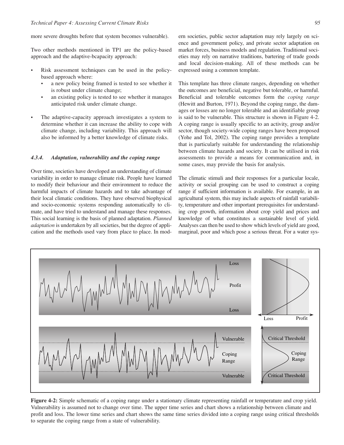more severe droughts before that system becomes vulnerable).

Two other methods mentioned in TP1 are the policy-based approach and the adaptive-bcapacity approach:

- Risk assessment techniques can be used in the policybased approach where:
	- a new policy being framed is tested to see whether it is robust under climate change;
	- an existing policy is tested to see whether it manages anticipated risk under climate change.
- The adaptive-capacity approach investigates a system to determine whether it can increase the ability to cope with climate change, including variability. This approach will also be informed by a better knowledge of climate risks.

#### *4.3.4. Adaptation, vulnerability and the coping range*

Over time, societies have developed an understanding of climate variability in order to manage climate risk. People have learned to modify their behaviour and their environment to reduce the harmful impacts of climate hazards and to take advantage of their local climatic conditions. They have observed biophysical and socio-economic systems responding automatically to climate, and have tried to understand and manage these responses. This social learning is the basis of planned adaptation. *Planned adaptation* is undertaken by all societies, but the degree of application and the methods used vary from place to place. In mod-

ern societies, public sector adaptation may rely largely on science and government policy, and private sector adaptation on market forces, business models and regulation. Traditional societies may rely on narrative traditions, bartering of trade goods and local decision-making. All of these methods can be expressed using a common template.

This template has three climate ranges, depending on whether the outcomes are beneficial, negative but tolerable, or harmful. Beneficial and tolerable outcomes form the *coping range* (Hewitt and Burton, 1971). Beyond the coping range, the damages or losses are no longer tolerable and an identifiable group is said to be vulnerable. This structure is shown in Figure 4-2. A coping range is usually specific to an activity, group and/or sector, though society-wide coping ranges have been proposed (Yohe and Tol, 2002). The coping range provides a template that is particularly suitable for understanding the relationship between climate hazards and society. It can be utilised in risk assessments to provide a means for communication and, in some cases, may provide the basis for analysis.

The climatic stimuli and their responses for a particular locale, activity or social grouping can be used to construct a coping range if sufficient information is available. For example, in an agricultural system, this may include aspects of rainfall variability, temperature and other important prerequisites for understanding crop growth, information about crop yield and prices and knowledge of what constitutes a sustainable level of yield. Analyses can then be used to show which levels of yield are good, marginal, poor and which pose a serious threat. For a water sys-



**Figure 4-2:** Simple schematic of a coping range under a stationary climate representing rainfall or temperature and crop yield. Vulnerability is assumed not to change over time. The upper time series and chart shows a relationship between climate and profit and loss. The lower time series and chart shows the same time series divided into a coping range using critical thresholds to separate the coping range from a state of vulnerability.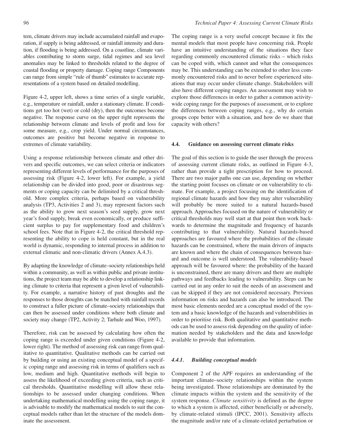tem, climate drivers may include accumulated rainfall and evaporation, if supply is being addressed, or rainfall intensity and duration, if flooding is being addressed. On a coastline, climate variables contributing to storm surge, tidal regimes and sea level anomalies may be linked to thresholds related to the degree of coastal flooding or property damage. Coping range Components can range from simple "rule of thumb" estimates to accurate representations of a system based on detailed modelling.

Figure 4-2, upper left, shows a time series of a single variable, e.g., temperature or rainfall, under a stationary climate. If conditions get too hot (wet) or cold (dry), then the outcomes become negative. The response curve on the upper right represents the relationship between climate and levels of profit and loss for some measure, e.g., crop yield. Under normal circumstances, outcomes are positive but become negative in response to extremes of climate variability.

Using a response relationship between climate and other drivers and specific outcomes, we can select criteria or indicators representing different levels of performance for the purposes of assessing risk (Figure 4-2, lower left). For example, a yield relationship can be divided into good, poor or disastrous segments or coping capacity can be delimited by a critical threshold. More complex criteria, perhaps based on vulnerability analysis (TP3, Activities 2 and 3), may represent factors such as the ability to grow next season's seed supply, grow next year's food supply, break even economically, or produce sufficient surplus to pay for supplementary food and children's school fees. Note that in Figure 4-2, the critical threshold representing the ability to cope is held constant, but in the real world is dynamic, responding to internal process in addition to external climatic and non-climatic drivers (Annex A.4.3).

By adapting the knowledge of climate–society relationships held within a community, as well as within public and private institutions, the project team may be able to develop a relationship linking climate to criteria that represent a given level of vulnerability. For example, a narrative history of past droughts and the responses to those droughts can be matched with rainfall records to construct a fuller picture of climate–society relationships that can then be assessed under conditions where both climate and society may change (TP2, Activity 2; Tarhule and Woo, 1997).

Therefore, risk can be assessed by calculating how often the coping range is exceeded under given conditions (Figure 4-2, lower right). The method of assessing risk can range from qualitative to quantitative. Qualitative methods can be carried out by building or using an existing conceptual model of a specific coping range and assessing risk in terms of qualifiers such as low, medium and high. Quantitative methods will begin to assess the likelihood of exceeding given criteria, such as critical thresholds. Quantitative modelling will allow these relationships to be assessed under changing conditions. When undertaking mathematical modelling using the coping range, it is advisable to modify the mathematical models to suit the conceptual models rather than let the structure of the models dominate the assessment.

The coping range is a very useful concept because it fits the mental models that most people have concerning risk. People have an intuitive understanding of the situations they face regarding commonly encountered climatic risks – which risks can be coped with, which cannot and what the consequences may be. This understanding can be extended to other less commonly encountered risks and to never before experienced situations that may occur under climate change. Stakeholders will also have different coping ranges. An assessment may wish to explore those differences in order to gather a common activitywide coping range for the purposes of assessment, or to explore the differences between coping ranges, e.g., why do certain groups cope better with a situation, and how do we share that capacity with others?

#### **4.4. Guidance on assessing current climate risks**

The goal of this section is to guide the user through the process of assessing current climate risks, as outlined in Figure 4-3, rather than provide a tight prescription for how to proceed. There are two major paths one can use, depending on whether the starting point focuses on climate or on vulnerability to climate. For example, a project focusing on the identification of regional climate hazards and how they may alter vulnerability will probably be more suited to a natural hazards-based approach. Approaches focused on the nature of vulnerability or critical thresholds may well start at that point then work backwards to determine the magnitude and frequency of hazards contributing to that vulnerability. Natural hazards-based approaches are favoured where the probabilities of the climate hazards can be constrained, where the main drivers of impacts are known and where the chain of consequences between hazard and outcome is well understood. The vulnerability-based approach will be favoured where: the probability of the hazard is unconstrained, there are many drivers and there are multiple pathways and feedbacks leading to vulnerability. Steps can be carried out in any order to suit the needs of an assessment and can be skipped if they are not considered necessary. Previous information on risks and hazards can also be introduced. The most basic elements needed are a conceptual model of the system and a basic knowledge of the hazards and vulnerabilities in order to prioritise risk. Both qualitative and quantitative methods can be used to assess risk depending on the quality of information needed by stakeholders and the data and knowledge available to provide that information.

#### *4.4.1. Building conceptual models*

Component 2 of the APF requires an understanding of the important climate–society relationships within the system being investigated. Those relationships are dominated by the climate impacts within the system and the sensitivity of the system response. *Climate sensitivity* is defined as the degree to which a system is affected, either beneficially or adversely, by climate-related stimuli (IPCC, 2001). Sensitivity affects the magnitude and/or rate of a climate-related perturbation or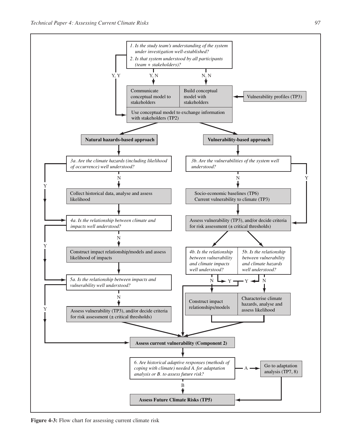

**Figure 4-3:** Flow chart for assessing current climate risk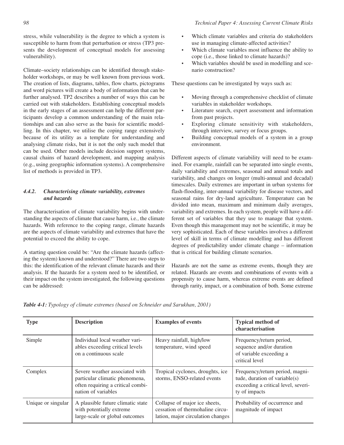stress, while vulnerability is the degree to which a system is susceptible to harm from that perturbation or stress (TP3 presents the development of conceptual models for assessing vulnerability).

Climate–society relationships can be identified through stakeholder workshops, or may be well known from previous work. The creation of lists, diagrams, tables, flow charts, pictograms and word pictures will create a body of information that can be further analysed. TP2 describes a number of ways this can be carried out with stakeholders. Establishing conceptual models in the early stages of an assessment can help the different participants develop a common understanding of the main relationships and can also serve as the basis for scientific modelling. In this chapter, we utilise the coping range extensively because of its utility as a template for understanding and analysing climate risks, but it is not the only such model that can be used. Other models include decision support systems, causal chains of hazard development, and mapping analysis (e.g., using geographic information systems). A comprehensive list of methods is provided in TP3.

#### *4.4.2. Characterising climate variability, extremes and hazards*

The characterisation of climate variability begins with understanding the aspects of climate that cause harm, i.e.*,* the climate hazards. With reference to the coping range, climate hazards are the aspects of climate variability and extremes that have the potential to exceed the ability to cope.

A starting question could be: "Are the climate hazards (affecting the system) known and understood?" There are two steps to this: the identification of the relevant climate hazards and their analysis. If the hazards for a system need to be identified, or their impact on the system investigated, the following questions can be addressed:

- Which climate variables and criteria do stakeholders use in managing climate-affected activities?
- Which climate variables most influence the ability to cope (i.e., those linked to climate hazards)?
- Which variables should be used in modelling and scenario construction?

These questions can be investigated by ways such as:

- Moving through a comprehensive checklist of climate variables in stakeholder workshops.
- Literature search, expert assessment and information from past projects.
- Exploring climate sensitivity with stakeholders, through interview, survey or focus groups.
- Building conceptual models of a system in a group environment.

Different aspects of climate variability will need to be examined. For example, rainfall can be separated into single events, daily variability and extremes, seasonal and annual totals and variability, and changes on longer (multi-annual and decadal) timescales. Daily extremes are important in urban systems for flash-flooding, inter-annual variability for disease vectors, and seasonal rains for dry-land agriculture. Temperature can be divided into mean, maximum and minimum daily averages, variability and extremes. In each system, people will have a different set of variables that they use to manage that system. Even though this management may not be scientific, it may be very sophisticated. Each of these variables involves a different level of skill in terms of climate modelling and has different degrees of predictability under climate change – information that is critical for building climate scenarios.

Hazards are not the same as extreme events, though they are related. Hazards are events and combinations of events with a propensity to cause harm, whereas extreme events are defined through rarity, impact, or a combination of both. Some extreme

| <b>Type</b>        | <b>Description</b>                                                                                                           | <b>Examples of events</b>                                                                              | <b>Typical method of</b><br>characterisation                                                                             |
|--------------------|------------------------------------------------------------------------------------------------------------------------------|--------------------------------------------------------------------------------------------------------|--------------------------------------------------------------------------------------------------------------------------|
| Simple             | Individual local weather vari-<br>ables exceeding critical levels<br>on a continuous scale                                   | Heavy rainfall, high/low<br>temperature, wind speed                                                    | Frequency/return period,<br>sequence and/or duration<br>of variable exceeding a<br>critical level                        |
| Complex            | Severe weather associated with<br>particular climatic phenomena,<br>often requiring a critical combi-<br>nation of variables | Tropical cyclones, droughts, ice<br>storms, ENSO-related events                                        | Frequency/return period, magni-<br>tude, duration of variable(s)<br>exceeding a critical level, severi-<br>ty of impacts |
| Unique or singular | A plausible future climatic state<br>with potentially extreme<br>large-scale or global outcomes                              | Collapse of major ice sheets,<br>cessation of thermohaline circu-<br>lation, major circulation changes | Probability of occurrence and<br>magnitude of impact                                                                     |

*Table 4-1: Typology of climate extremes (based on Schneider and Sarukhan, 2001)*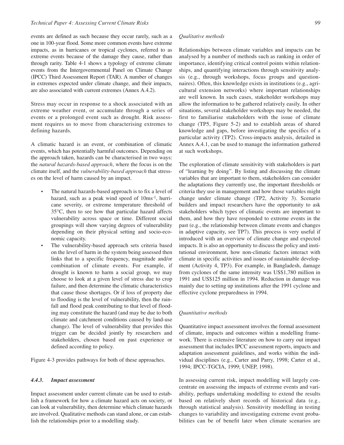events are defined as such because they occur rarely, such as a one in 100-year flood. Some more common events have extreme impacts, as in hurricanes or tropical cyclones, referred to as extreme events because of the damage they cause, rather than through rarity. Table 4-1 shows a typology of extreme climate events from the Intergovernmental Panel on Climate Change (IPCC) Third Assessment Report (TAR). A number of changes in extremes expected under climate change, and their impacts, are also associated with current extremes (Annex A.4.2).

Stress may occur in response to a shock associated with an extreme weather event, or accumulate through a series of events or a prolonged event such as drought. Risk assessment requires us to move from characterising extremes to defining hazards.

A climatic hazard is an event, or combination of climatic events, which has potentially harmful outcomes. Depending on the approach taken, hazards can be characterised in two ways: the *natural hazards-based approach*, where the focus is on the climate itself, and the *vulnerability-based approach* that stresses on the level of harm caused by an impact.

- The natural hazards-based approach is to fix a level of hazard, such as a peak wind speed of 10ms-1, hurricane severity, or extreme temperature threshold of 35°C, then to see how that particular hazard affects vulnerability across space or time. Different social groupings will show varying degrees of vulnerability depending on their physical setting and socio-economic capacity.
- The vulnerability-based approach sets criteria based on the level of harm in the system being assessed then links that to a specific frequency, magnitude and/or combination of climate events. For example, if drought is known to harm a social group, we may choose to look at a given level of stress due to crop failure, and then determine the climatic characteristics that cause those shortages. Or if loss of property due to flooding is the level of vulnerability, then the rainfall and flood peak contributing to that level of flooding may constitute the hazard (and may be due to both climate and catchment conditions caused by land-use change). The level of vulnerability that provides this trigger can be decided jointly by researchers and stakeholders, chosen based on past experience or defined according to policy.

Figure 4-3 provides pathways for both of these approaches.

#### *4.4.3. Impact assessment*

Impact assessment under current climate can be used to establish a framework for how a climate hazard acts on society, or can look at vulnerability, then determine which climate hazards are involved. Qualitative methods can stand alone, or can establish the relationships prior to a modelling study.

#### *Qualitative methods*

Relationships between climate variables and impacts can be analysed by a number of methods such as ranking in order of importance, identifying critical control points within relationships, and quantifying interactions through sensitivity analysis (e.g., through workshops, focus groups and questionnaires). Often, this knowledge exists in institutions (e.g., agricultural extension networks) where important relationships are well known. In such cases, stakeholder workshops may allow the information to be gathered relatively easily. In other situations, several stakeholder workshops may be needed, the first to familiarise stakeholders with the issue of climate change (TP5, Figure 5-2) and to establish areas of shared knowledge and gaps, before investigating the specifics of a particular activity (TP2). Cross-impacts analysis, detailed in Annex A.4.1, can be used to manage the information gathered at such workshops.

The exploration of climate sensitivity with stakeholders is part of "learning by doing". By listing and discussing the climate variables that are important to them, stakeholders can consider the adaptations they currently use, the important thresholds or criteria they use in management and how those variables might change under climate change (TP2, Activity 3). Scenario builders and impact researchers have the opportunity to ask stakeholders which types of climatic events are important to them, and how they have responded to extreme events in the past (e.g., the relationship between climate events and changes in adaptive capacity, see TP7). This process is very useful if introduced with an overview of climate change and expected impacts. It is also an opportunity to discuss the policy and institutional environment, how non-climatic factors interact with climate in specific activities and issues of sustainable development (Activity 4, TP3). For example, in Bangladesh, damage from cyclones of the same intensity was US\$1,780 million in 1991 and US\$125 million in 1994. Reduction in damage was mainly due to setting up institutions after the 1991 cyclone and effective cyclone preparedness in 1994.

#### *Quantitative methods*

Quantitative impact assessment involves the formal assessment of climate, impacts and outcomes within a modelling framework. There is extensive literature on how to carry out impact assessment that includes IPCC assessment reports, impacts and adaptation assessment guidelines, and works within the individual disciplines (e.g*.,* Carter and Parry, 1998; Carter et al., 1994; IPCC-TGCIA, 1999; UNEP, 1998).

In assessing current risk, impact modelling will largely concentrate on assessing the impacts of extreme events and variability, perhaps undertaking modelling to extend the results based on relatively short records of historical data (e.g*.,* through statistical analysis). Sensitivity modelling in testing changes to variability and investigating extreme event probabilities can be of benefit later when climate scenarios are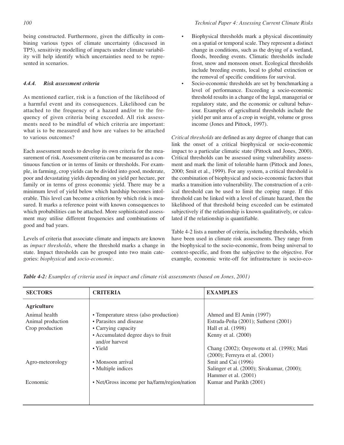being constructed. Furthermore, given the difficulty in combining various types of climate uncertainty (discussed in TP5), sensitivity modelling of impacts under climate variability will help identify which uncertainties need to be represented in scenarios.

#### *4.4.4. Risk assessment criteria*

As mentioned earlier, risk is a function of the likelihood of a harmful event and its consequences. Likelihood can be attached to the frequency of a hazard and/or to the frequency of given criteria being exceeded. All risk assessments need to be mindful of which criteria are important: what is to be measured and how are values to be attached to various outcomes?

Each assessment needs to develop its own criteria for the measurement of risk. Assessment criteria can be measured as a continuous function or in terms of limits or thresholds. For example, in farming, crop yields can be divided into good, moderate, poor and devastating yields depending on yield per hectare, per family or in terms of gross economic yield. There may be a minimum level of yield below which hardship becomes intolerable. This level can become a criterion by which risk is measured. It marks a reference point with known consequences to which probabilities can be attached. More sophisticated assessment may utilise different frequencies and combinations of good and bad years.

Levels of criteria that associate climate and impacts are known as *impact thresholds*, where the threshold marks a change in state. Impact thresholds can be grouped into two main categories: *biophysical* and *socio-economic*.

- Biophysical thresholds mark a physical discontinuity on a spatial or temporal scale. They represent a distinct change in conditions, such as the drying of a wetland, floods, breeding events. Climatic thresholds include frost, snow and monsoon onset. Ecological thresholds include breeding events, local to global extinction or the removal of specific conditions for survival.
- Socio-economic thresholds are set by benchmarking a level of performance. Exceeding a socio-economic threshold results in a change of the legal, managerial or regulatory state, and the economic or cultural behaviour. Examples of agricultural thresholds include the yield per unit area of a crop in weight, volume or gross income (Jones and Pittock, 1997).

*Critical thresholds* are defined as any degree of change that can link the onset of a critical biophysical or socio-economic impact to a particular climatic state (Pittock and Jones, 2000). Critical thresholds can be assessed using vulnerability assessment and mark the limit of tolerable harm (Pittock and Jones, 2000; Smit et al., 1999). For any system, a critical threshold is the combination of biophysical and socio-economic factors that marks a transition into vulnerability. The construction of a critical threshold can be used to limit the coping range. If this threshold can be linked with a level of climate hazard, then the likelihood of that threshold being exceeded can be estimated subjectively if the relationship is known qualitatively, or calculated if the relationship is quantifiable.

Table 4-2 lists a number of criteria, including thresholds, which have been used in climate risk assessments. They range from the biophysical to the socio-economic, from being universal to context-specific, and from the subjective to the objective. For example, economic write-off for infrastructure is socio-eco-

| <b>SECTORS</b>    | <b>CRITERIA</b>                                      | <b>EXAMPLES</b>                                                              |
|-------------------|------------------------------------------------------|------------------------------------------------------------------------------|
| Agriculture       |                                                      |                                                                              |
| Animal health     | • Temperature stress (also production)               | Ahmed and El Amin (1997)                                                     |
| Animal production | • Parasites and disease                              | Estrada-Peña (2001); Sutherst (2001)                                         |
| Crop production   | • Carrying capacity                                  | Hall et al. (1998)                                                           |
|                   | • Accumulated degree days to fruit<br>and/or harvest | Kenny et al. $(2000)$                                                        |
|                   | $\bullet$ Yield                                      | Chang (2002); Onyewotu et al. (1998); Mati<br>(2000); Ferreyra et al. (2001) |
| Agro-meteorology  | • Monsoon arrival                                    | Smit and Cai (1996)                                                          |
|                   | • Multiple indices                                   | Salinger et al. (2000); Sivakumar, (2000);<br>Hammer et al. (2001)           |
| Economic          | • Net/Gross income per ha/farm/region/nation         | Kumar and Parikh (2001)                                                      |
|                   |                                                      |                                                                              |

*Table 4-2: Examples of criteria used in impact and climate risk assessments (based on Jones, 2001)*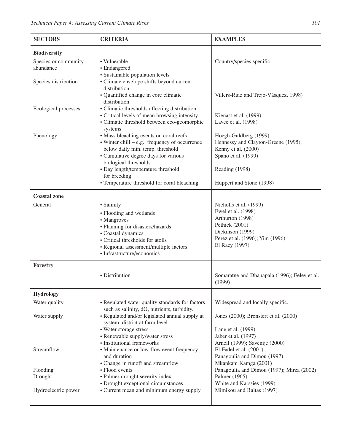| <b>SECTORS</b>                                           | <b>CRITERIA</b>                                                                                                                                                                                                                                                                                            | <b>EXAMPLES</b>                                                                                                                                             |
|----------------------------------------------------------|------------------------------------------------------------------------------------------------------------------------------------------------------------------------------------------------------------------------------------------------------------------------------------------------------------|-------------------------------------------------------------------------------------------------------------------------------------------------------------|
| <b>Biodiversity</b><br>Species or community<br>abundance | • Vulnerable<br>• Endangered                                                                                                                                                                                                                                                                               | Country/species specific                                                                                                                                    |
| Species distribution                                     | • Sustainable population levels<br>• Climate envelope shifts beyond current<br>distribution<br>· Quantified change in core climatic<br>distribution                                                                                                                                                        | Villers-Ruiz and Trejo-Vásquez, 1998)                                                                                                                       |
| Ecological processes                                     | • Climatic thresholds affecting distribution<br>• Critical levels of mean browsing intensity<br>· Climatic threshold between eco-geomorphic<br>systems                                                                                                                                                     | Kienast et al. (1999)<br>Lavee et al. (1998)                                                                                                                |
| Phenology                                                | • Mass bleaching events on coral reefs<br>$\bullet$ Winter chill – e.g., frequency of occurrence<br>below daily min. temp. threshold<br>• Cumulative degree days for various<br>biological thresholds<br>• Day length/temperature threshold<br>for breeding<br>• Temperature threshold for coral bleaching | Hoegh-Guldberg (1999)<br>Hennessy and Clayton-Greene (1995),<br>Kenny et al. (2000)<br>Spano et al. (1999)<br>Reading (1998)<br>Huppert and Stone (1998)    |
| <b>Coastal</b> zone<br>General                           | • Salinity<br>• Flooding and wetlands<br>• Mangroves<br>• Planning for disasters/hazards<br>• Coastal dynamics<br>• Critical thresholds for atolls<br>• Regional assessment/multiple factors<br>• Infrastructure/economics                                                                                 | Nicholls et al. (1999)<br>Ewel et al. (1998)<br>Arthurton (1998)<br>Pethick (2001)<br>Dickinson (1999)<br>Perez et al. (1996); Yim (1996)<br>El Raey (1997) |
| Forestry                                                 | • Distribution                                                                                                                                                                                                                                                                                             | Somaratne and Dhanapala (1996); Eeley et al.<br>(1999)                                                                                                      |
| <b>Hydrology</b>                                         |                                                                                                                                                                                                                                                                                                            |                                                                                                                                                             |
| Water quality                                            | • Regulated water quality standards for factors<br>such as salinity, dO, nutrients, turbidity.                                                                                                                                                                                                             | Widespread and locally specific.                                                                                                                            |
| Water supply                                             | • Regulated and/or legislated annual supply at<br>system, district at farm level<br>• Water storage stress<br>• Renewable supply/water stress<br>· Institutional frameworks                                                                                                                                | Jones (2000); Bronstert et al. (2000)<br>Lane et al. (1999)<br>Jaber et al. (1997)<br>Arnell (1999); Savenije (2000)                                        |
| Streamflow                                               | • Maintenance or low-flow event frequency<br>and duration<br>• Change in runoff and streamflow                                                                                                                                                                                                             | El-Fadel et al. (2001)<br>Panagoulia and Dimou (1997)<br>Mkankam Kamga (2001)                                                                               |
| Flooding                                                 | • Flood events                                                                                                                                                                                                                                                                                             | Panagoulia and Dimou (1997); Mirza (2002)                                                                                                                   |
| Drought                                                  | · Palmer drought severity index                                                                                                                                                                                                                                                                            | Palmer (1965)                                                                                                                                               |
| Hydroelectric power                                      | • Drought exceptional circumstances<br>• Current mean and minimum energy supply                                                                                                                                                                                                                            | White and Karssies (1999)<br>Mimikou and Baltas (1997)                                                                                                      |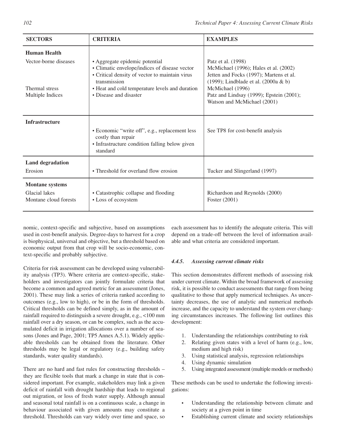| <b>SECTORS</b>                                                   | <b>CRITERIA</b>                                                                                                                                   | <b>EXAMPLES</b>                                                                                                                                |
|------------------------------------------------------------------|---------------------------------------------------------------------------------------------------------------------------------------------------|------------------------------------------------------------------------------------------------------------------------------------------------|
| <b>Human Health</b>                                              |                                                                                                                                                   |                                                                                                                                                |
| Vector-borne diseases                                            | • Aggregate epidemic potential<br>• Climatic envelope/indices of disease vector<br>• Critical density of vector to maintain virus<br>transmission | Patz et al. (1998)<br>McMichael (1996); Hales et al. (2002)<br>Jetten and Focks (1997); Martens et al.<br>(1999); Lindblade et al. (2000a & b) |
| Thermal stress<br>Multiple Indices                               | • Heat and cold temperature levels and duration<br>• Disease and disaster                                                                         | McMichael (1996)<br>Patz and Lindsay (1999); Epstein (2001);<br>Watson and McMichael (2001)                                                    |
| <b>Infrastructure</b>                                            | • Economic "write off", e.g., replacement less<br>costly than repair<br>• Infrastructure condition falling below given<br>standard                | See TP8 for cost-benefit analysis                                                                                                              |
| <b>Land degradation</b><br>Erosion                               | • Threshold for overland flow erosion                                                                                                             | Tucker and Slingerland (1997)                                                                                                                  |
| <b>Montane</b> systems<br>Glacial lakes<br>Montane cloud forests | • Catastrophic collapse and flooding<br>• Loss of ecosystem                                                                                       | Richardson and Reynolds (2000)<br>Foster (2001)                                                                                                |

nomic, context-specific and subjective, based on assumptions used in cost-benefit analysis. Degree-days to harvest for a crop is biophysical, universal and objective, but a threshold based on economic output from that crop will be socio-economic, context-specific and probably subjective.

Criteria for risk assessment can be developed using vulnerability analysis (TP3). Where criteria are context-specific, stakeholders and investigators can jointly formulate criteria that become a common and agreed metric for an assessment (Jones, 2001). These may link a series of criteria ranked according to outcomes (e.g., low to high), or be in the form of thresholds. Critical thresholds can be defined simply, as in the amount of rainfall required to distinguish a severe drought, e.g., <100 mm rainfall over a dry season, or can be complex, such as the accumulated deficit in irrigation allocations over a number of seasons (Jones and Page, 2001; TP5 Annex A.5.1). Widely applicable thresholds can be obtained from the literature. Other thresholds may be legal or regulatory (e.g., building safety standards, water quality standards).

There are no hard and fast rules for constructing thresholds – they are flexible tools that mark a change in state that is considered important. For example, stakeholders may link a given deficit of rainfall with drought hardship that leads to regional out migration, or loss of fresh water supply. Although annual and seasonal total rainfall is on a continuous scale, a change in behaviour associated with given amounts may constitute a threshold. Thresholds can vary widely over time and space, so each assessment has to identify the adequate criteria. This will depend on a trade-off between the level of information available and what criteria are considered important.

#### *4.4.5. Assessing current climate risks*

This section demonstrates different methods of assessing risk under current climate. Within the broad framework of assessing risk, it is possible to conduct assessments that range from being qualitative to those that apply numerical techniques. As uncertainty decreases, the use of analytic and numerical methods increase, and the capacity to understand the system over changing circumstances increases. The following list outlines this development:

- 1. Understanding the relationships contributing to risk
- 2. Relating given states with a level of harm (e.g., low, medium and high risk)
- 3. Using statistical analysis, regression relationships
- 4. Using dynamic simulation
- 5. Using integrated assessment (multiple models or methods)

These methods can be used to undertake the following investigations:

- Understanding the relationship between climate and society at a given point in time
- Establishing current climate and society relationships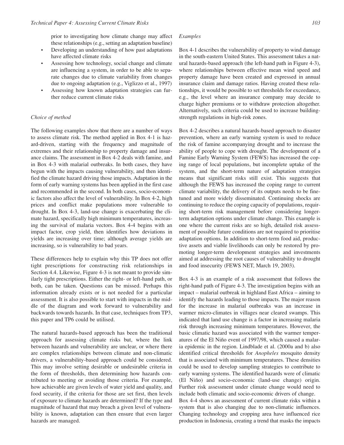prior to investigating how climate change may affect these relationships (e.g., setting an adaptation baseline)

- Developing an understanding of how past adaptations have affected climate risks
- Assessing how technology, social change and climate are influencing a system, in order to be able to separate changes due to climate variability from changes due to ongoing adaptation (e.g., Viglizzo et al., 1997)
- Assessing how known adaptation strategies can further reduce current climate risks

#### *Choice of method*

The following examples show that there are a number of ways to assess climate risk. The method applied in Box 4-1 is hazard-driven, starting with the frequency and magnitude of extremes and their relationship to property damage and insurance claims. The assessment in Box 4-2 deals with famine, and in Box 4-3 with malarial outbreaks. In both cases, they have begun with the impacts causing vulnerability, and then identified the climate hazard driving those impacts. Adaptation in the form of early warning systems has been applied in the first case and recommended in the second. In both cases, socio-economic factors also affect the level of vulnerability. In Box 4-2, high prices and conflict make populations more vulnerable to drought. In Box 4-3, land-use change is exacerbating the climate hazard, specifically high minimum temperatures, increasing the survival of malaria vectors. Box 4-4 begins with an impact factor, crop yield, then identifies how deviations in yields are increasing over time; although average yields are increasing, so is vulnerability to bad years.

These differences help to explain why this TP does not offer tight prescriptions for constructing risk relationships in Section 4.4. Likewise, Figure 4-3 is not meant to provide similarly tight prescriptions. Either the right- or left-hand path, or both, can be taken. Questions can be missed. Perhaps this information already exists or is not needed for a particular assessment. It is also possible to start with impacts in the middle of the diagram and work forward to vulnerability and backwards towards hazards. In that case, techniques from TP3, this paper and TP6 could be utilised.

The natural hazards-based approach has been the traditional approach for assessing climate risks but, where the link between hazards and vulnerability are unclear, or where there are complex relationships between climate and non-climatic drivers, a vulnerability-based approach could be considered. This may involve setting desirable or undesirable criteria in the form of thresholds, then determining how hazards contributed to meeting or avoiding those criteria. For example, how achievable are given levels of water yield and quality, and food security, if the criteria for those are set first, then levels of exposure to climate hazards are determined? If the type and magnitude of hazard that may breach a given level of vulnerability is known, adaptation can then ensure that even larger hazards are managed.

#### *Examples*

Box 4-1 describes the vulnerability of property to wind damage in the south-eastern United States. This assessment takes a natural hazards-based approach (the left-hand path in Figure 4-3), where relationships between effective mean wind speed and property damage have been created and expressed in annual insurance claim and damage ratios. Having created these relationships, it would be possible to set thresholds for exceedance, e.g., the level where an insurance company may decide to charge higher premiums or to withdraw protection altogether. Alternatively, such criteria could be used to increase buildingstrength regulations in high-risk zones.

Box 4-2 describes a natural hazards-based approach to disaster prevention, where an early warning system is used to reduce the risk of famine accompanying drought and to increase the ability of people to cope with drought. The development of a Famine Early Warning System (FEWS) has increased the coping range of local populations, but incomplete uptake of the system, and the short-term nature of adaptation strategies means that significant risks still exist. This suggests that although the FEWS has increased the coping range to current climate variability, the delivery of its outputs needs to be finetuned and more widely disseminated. Continuing shocks are continuing to reduce the coping capacity of populations, requiring short-term risk management before considering longerterm adaptation options under climate change. This example is one where the current risks are so high, detailed risk assessment of possible future conditions are not required to prioritise adaptation options. In addition to short-term food aid, productive assets and viable livelihoods can only be restored by promoting longer-term development strategies and investments aimed at addressing the root causes of vulnerability to drought and food insecurity (FEWS NET, March 19, 2003).

Box 4-3 is an example of a risk assessment that follows the right-hand path of Figure 4-3. The investigation begins with an impact – malarial outbreak in highland East Africa – aiming to identify the hazards leading to those impacts. The major reason for the increase in malarial outbreaks was an increase in warmer micro-climates in villages near cleared swamps. This indicated that land use change is a factor in increasing malaria risk through increasing minimum temperatures. However, the basic climatic hazard was associated with the warmer temperatures of the El Niño event of 1997/98, which caused a malaria epidemic in the region. Lindblade et al. (2000a and b) also identified critical thresholds for *Anopheles* mosquito density that is associated with minimum temperatures. These densities could be used to develop sampling strategies to contribute to early warning systems. The identified hazards were of climatic (El Niño) and socio-economic (land-use change) origin. Further risk assessment under climate change would need to include both climatic and socio-economic drivers of change. Box 4-4 shows an assessment of current climate risks within a

system that is also changing due to non-climatic influences. Changing technology and cropping area have influenced rice production in Indonesia, creating a trend that masks the impacts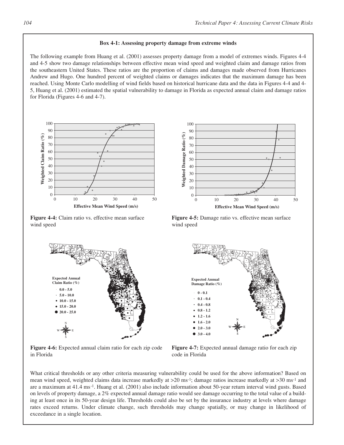#### **Box 4-1: Assessing property damage from extreme winds**

The following example from Huang et al. (2001) assesses property damage from a model of extremes winds. Figures 4-4 and 4-5 show two damage relationships between effective mean wind speed and weighted claim and damage ratios from the southeastern United States. These ratios are the proportion of claims and damages made observed from Hurricanes Andrew and Hugo. One hundred percent of weighted claims or damages indicates that the maximum damage has been reached. Using Monte Carlo modelling of wind fields based on historical hurricane data and the data in Figures 4-4 and 4- 5, Huang et al. (2001) estimated the spatial vulnerability to damage in Florida as expected annual claim and damage ratios for Florida (Figures 4-6 and 4-7).



**Figure 4-4:** Claim ratio vs. effective mean surface wind speed



**Figure 4-5:** Damage ratio vs. effective mean surface wind speed



**Figure 4-6:** Expected annual claim ratio for each zip code in Florida



**Figure 4-7:** Expected annual damage ratio for each zip code in Florida

What critical thresholds or any other criteria measuring vulnerability could be used for the above information? Based on mean wind speed, weighted claims data increase markedly at  $>20$  ms<sup>-1</sup>; damage ratios increase markedly at  $>30$  ms<sup>-1</sup> and are a maximum at 41.4 ms-1. Huang et al. (2001) also include information about 50-year return interval wind gusts. Based on levels of property damage, a 2% expected annual damage ratio would see damage occurring to the total value of a building at least once in its 50-year design life. Thresholds could also be set by the insurance industry at levels where damage rates exceed returns. Under climate change, such thresholds may change spatially, or may change in likelihood of exceedance in a single location.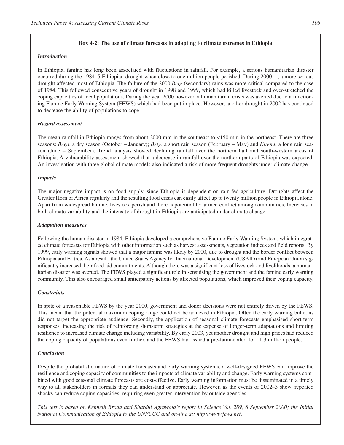#### **Box 4-2: The use of climate forecasts in adapting to climate extremes in Ethiopia**

#### *Introduction*

In Ethiopia, famine has long been associated with fluctuations in rainfall. For example, a serious humanitarian disaster occurred during the 1984–5 Ethiopian drought when close to one million people perished. During 2000–1, a more serious drought affected most of Ethiopia. The failure of the 2000 *Belg* (secondary) rains was more critical compared to the case of 1984. This followed consecutive years of drought in 1998 and 1999, which had killed livestock and over-stretched the coping capacities of local populations. During the year 2000 however, a humanitarian crisis was averted due to a functioning Famine Early Warning System (FEWS) which had been put in place. However, another drought in 2002 has continued to decrease the ability of populations to cope.

#### *Hazard assessment*

The mean rainfall in Ethiopia ranges from about 2000 mm in the southeast to <150 mm in the northeast. There are three seasons: *Bega*, a dry season (October – January); *Belg*, a short rain season (February – May) and *Kiremt*, a long rain season (June – September). Trend analysis showed declining rainfall over the northern half and south-western areas of Ethiopia. A vulnerability assessment showed that a decrease in rainfall over the northern parts of Ethiopia was expected. An investigation with three global climate models also indicated a risk of more frequent droughts under climate change.

#### *Impacts*

The major negative impact is on food supply, since Ethiopia is dependent on rain-fed agriculture. Droughts affect the Greater Horn of Africa regularly and the resulting food crisis can easily affect up to twenty million people in Ethiopia alone. Apart from widespread famine, livestock perish and there is potential for armed conflict among communities. Increases in both climate variability and the intensity of drought in Ethiopia are anticipated under climate change.

#### *Adaptation measures*

Following the human disaster in 1984, Ethiopia developed a comprehensive Famine Early Warning System, which integrated climate forecasts for Ethiopia with other information such as harvest assessments, vegetation indices and field reports. By 1999, early warning signals showed that a major famine was likely by 2000, due to drought and the border conflict between Ethiopia and Eritrea. As a result, the United States Agency for International Development (USAID) and European Union significantly increased their food aid commitments. Although there was a significant loss of livestock and livelihoods, a humanitarian disaster was averted. The FEWS played a significant role in sensitising the government and the famine early warning community. This also encouraged small anticipatory actions by affected populations, which improved their coping capacity.

#### *Constraints*

In spite of a reasonable FEWS by the year 2000, government and donor decisions were not entirely driven by the FEWS. This meant that the potential maximum coping range could not be achieved in Ethiopia. Often the early warning bulletins did not target the appropriate audience. Secondly, the application of seasonal climate forecasts emphasised short-term responses, increasing the risk of reinforcing short-term strategies at the expense of longer-term adaptations and limiting resilience to increased climate change including variability. By early 2003, yet another drought and high prices had reduced the coping capacity of populations even further, and the FEWS had issued a pre-famine alert for 11.3 million people.

#### *Conclusion*

Despite the probabilistic nature of climate forecasts and early warning systems, a well-designed FEWS can improve the resilience and coping capacity of communities to the impacts of climate variability and change. Early warning systems combined with good seasonal climate forecasts are cost-effective. Early warning information must be disseminated in a timely way to all stakeholders in formats they can understand or appreciate. However, as the events of 2002–3 show, repeated shocks can reduce coping capacities, requiring even greater intervention by outside agencies.

*This text is based on Kenneth Broad and Shardul Agrawala's report in Science Vol. 289, 8 September 2000; the Initial National Communication of Ethiopia to the UNFCCC and on-line at: http://www.fews.net.*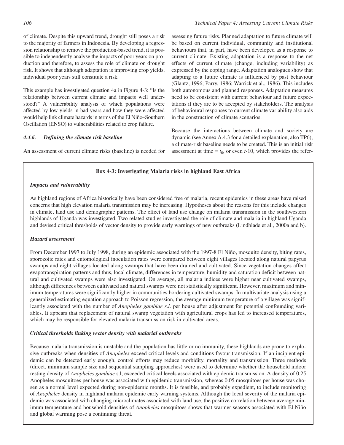of climate. Despite this upward trend, drought still poses a risk to the majority of farmers in Indonesia. By developing a regression relationship to remove the production-based trend, it is possible to independently analyse the impacts of poor years on production and therefore, to assess the role of climate on drought risk. It shows that although adaptation is improving crop yields, individual poor years still constitute a risk.

This example has investigated question 4a in Figure 4-3: "Is the relationship between current climate and impacts well understood?" A vulnerability analysis of which populations were affected by low yields in bad years and how they were affected would help link climate hazards in terms of the El Niño–Southern Oscillation (ENSO) to vulnerabilities related to crop failure.

#### *4.4.6. Defining the climate risk baseline*

An assessment of current climate risks (baseline) is needed for

assessing future risks. Planned adaptation to future climate will be based on current individual, community and institutional behaviours that, in part, have been developed as a response to current climate. Existing adaptation is a response to the net effects of current climate (change, including variability) as expressed by the coping range. Adaptation analogues show that adapting to a future climate is influenced by past behaviour (Glantz, 1996; Parry, 1986; Warrick et al., 1986). This includes both autonomous and planned responses. Adaptation measures need to be consistent with current behaviour and future expectations if they are to be accepted by stakeholders. The analysis of behavioural responses to current climate variability also aids in the construction of climate scenarios.

Because the interactions between climate and society are dynamic (see Annex A.4.3 for a detailed explanation, also TP6), a climate-risk baseline needs to be created. This is an initial risk assessment at time  $= t_0$ , or even *t*-10, which provides the refer-

#### **Box 4-3: Investigating Malaria risks in highland East Africa**

#### *Impacts and vulnerability*

As highland regions of Africa historically have been considered free of malaria, recent epidemics in these areas have raised concerns that high elevation malaria transmission may be increasing. Hypotheses about the reasons for this include changes in climate, land use and demographic patterns. The effect of land use change on malaria transmission in the southwestern highlands of Uganda was investigated. Two related studies investigated the role of climate and malaria in highland Uganda and devised critical thresholds of vector density to provide early warnings of new outbreaks (Lindblade et al., 2000a and b).

#### *Hazard assessment*

From December 1997 to July 1998, during an epidemic associated with the 1997-8 El Niño, mosquito density, biting rates, sporozoite rates and entomological inoculation rates were compared between eight villages located along natural papyrus swamps and eight villages located along swamps that have been drained and cultivated. Since vegetation changes affect evapotranspiration patterns and thus, local climate, differences in temperature, humidity and saturation deficit between natural and cultivated swamps were also investigated. On average, all malaria indices were higher near cultivated swamps, although differences between cultivated and natural swamps were not statistically significant. However, maximum and minimum temperatures were significantly higher in communities bordering cultivated swamps. In multivariate analysis using a generalized estimating equation approach to Poisson regression, the average minimum temperature of a village was significantly associated with the number of *Anopheles gambiae s.l.* per house after adjustment for potential confounding variables. It appears that replacement of natural swamp vegetation with agricultural crops has led to increased temperatures, which may be responsible for elevated malaria transmission risk in cultivated areas.

#### *Critical thresholds linking vector density with malarial outbreaks*

Because malaria transmission is unstable and the population has little or no immunity, these highlands are prone to explosive outbreaks when densities of *Anopheles* exceed critical levels and conditions favour transmission. If an incipient epidemic can be detected early enough, control efforts may reduce morbidity, mortality and transmission. Three methods (direct, minimum sample size and sequential sampling approaches) were used to determine whether the household indoor resting density of *Anopheles gambiae* s.l, exceeded critical levels associated with epidemic transmission. A density of 0.25 Anopheles mosquitoes per house was associated with epidemic transmission, whereas 0.05 mosquitoes per house was chosen as a normal level expected during non-epidemic months. It is feasible, and probably expedient, to include monitoring of *Anopheles* density in highland malaria epidemic early warning systems. Although the local severity of the malaria epidemic was associated with changing microclimates associated with land use, the positive correlation between average minimum temperature and household densities of *Anopheles* mosquitoes shows that warmer seasons associated with El Niño and global warming pose a continuing threat.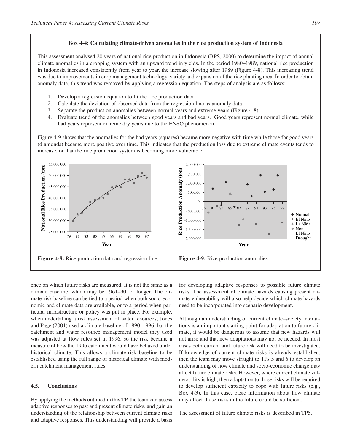#### **Box 4-4: Calculating climate-driven anomalies in the rice production system of Indonesia**

This assessment analysed 20 years of national rice production in Indonesia (BPS, 2000) to determine the impact of annual climate anomalies in a cropping system with an upward trend in yields. In the period 1980–1989, national rice production in Indonesia increased consistently from year to year, the increase slowing after 1989 (Figure 4-8). This increasing trend was due to improvements in crop management technology, variety and expansion of the rice planting area. In order to obtain anomaly data, this trend was removed by applying a regression equation. The steps of analysis are as follows:

- 1. Develop a regression equation to fit the rice production data
- 2. Calculate the deviation of observed data from the regression line as anomaly data
- 3. Separate the production anomalies between normal years and extreme years (Figure 4-8)
- 4. Evaluate trend of the anomalies between good years and bad years. Good years represent normal climate, while bad years represent extreme dry years due to the ENSO phenomenon.

Figure 4-9 shows that the anomalies for the bad years (squares) became more negative with time while those for good years (diamonds) became more positive over time. This indicates that the production loss due to extreme climate events tends to increase, or that the rice production system is becoming more vulnerable.









ence on which future risks are measured. It is not the same as a climate baseline, which may be 1961–90, or longer. The climate-risk baseline can be tied to a period when both socio-economic and climate data are available, or to a period when particular infrastructure or policy was put in place. For example, when undertaking a risk assessment of water resources, Jones and Page (2001) used a climate baseline of 1890–1996, but the catchment and water resource management model they used was adjusted at flow rules set in 1996, so the risk became a measure of how the 1996 catchment would have behaved under historical climate. This allows a climate-risk baseline to be established using the full range of historical climate with modern catchment management rules.

#### **4.5. Conclusions**

By applying the methods outlined in this TP, the team can assess adaptive responses to past and present climate risks, and gain an understanding of the relationship between current climate risks and adaptive responses. This understanding will provide a basis

for developing adaptive responses to possible future climate risks. The assessment of climate hazards causing present climate vulnerability will also help decide which climate hazards need to be incorporated into scenario development.

Although an understanding of current climate–society interactions is an important starting point for adaptation to future climate, it would be dangerous to assume that new hazards will not arise and that new adaptations may not be needed. In most cases both current and future risk will need to be investigated. If knowledge of current climate risks is already established, then the team may move straight to TPs 5 and 6 to develop an understanding of how climate and socio-economic change may affect future climate risks. However, where current climate vulnerability is high, then adaptation to those risks will be required to develop sufficient capacity to cope with future risks (e.g., Box 4-3). In this case, basic information about how climate may affect those risks in the future could be sufficient.

The assessment of future climate risks is described in TP5.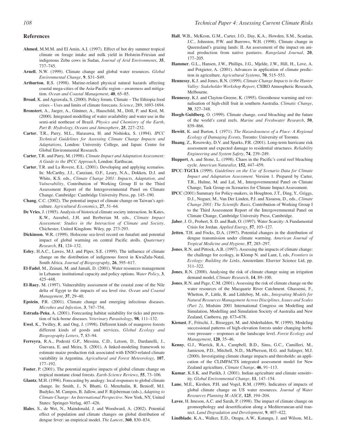#### **References**

- **Ahmed**, M.M.M. and El Amin, A.I. (1997). Effect of hot dry summer tropical climate on forage intake and milk yield in Holstein-Friesian and indigenous Zebu cows in Sudan, *Journal of Arid Environments*, **35**, 737–745.
- **Arnell**, N.W. (1999). Climate change and global water resources. *Global Environmental Change*, **9**, S31–S49.
- **Arthurton**, R.S. (1998). Marine-related physical natural hazards affecting coastal mega-cities of the Asia-Pacific region – awareness and mitigation. *Ocean and Coastal Management*, **40**, 65–85.
- **Broad**, K. and Agrawala, S. (2000). Policy forum. Climate The Ethiopia food crises – Uses and limits of climate forecasts. *Science*, 289, 1693-1694.
- **Bronstert**, A., Jaeger, A., Güntner, A., Hauschild, M., Döll, P. and Krol, M. (2000). Integrated modelling of water availability and water use in the semi-arid northeast of Brazil. *Physics and Chemistry of the Earth, Part B: Hydrology, Oceans and Atmosphere*, **25**, 227–232.
- **Carter**, T.R., Parry, M.L., Harasawa, H. and Nishioka, S. (1994). *IPCC Technical Guidelines for Assessing Climate Change Impacts and Adaptations*, London: University College, and Japan: Centre for Global Environmental Research.
- **Carter**, T.R. and Parry, M. (1998). *Climate Impact and Adaptation Assessment: A Guide to the IPCC Approach*, London: Earthscan.
- **Carter**, T.R. and La Rovere, E.L. (2001). Developing and applying scenarios. In: McCarthy, J.J., Canziani, O.F., Leary, N.A., Dokken, D.J. and White, K.S. eds., *Climate Change 2001: Impacts, Adaptation, and Vulnerability*, Contribution of Working Group II to the Third Assessment Report of the Intergovernmental Panel on Climate Change. Cambridge: Cambridge University Press, pp. 145–190.
- **Chang**, C.C. (2002). The potential impact of climate change on Taiwan's agriculture. *Agricultural Economics*, **27**, 51–64.
- **De Vries**, J. (1985). Analysis of historical climate society interaction. In Kates, K.W., Ausubel, J.H. and Berberian M. eds., *Climate Impact Assessment: Studies in the Interaction of Climate and Society*. Chichester, United Kingdom: Wiley, pp. 273-293.
- **Dickinson**, W.R. (1999). Holocene sea-level record on funafuti and potential impact of global warming on central Pacific atolls. *Quaternary Research*, **51**, 124–132.
- **Eeley**, H.A.C., Lawes, M.J. and Piper, S.E. (1999). The influence of climate change on the distribution of indigenous forest in KwaZulu-Natal, South Africa. *Journal of Biogeography*, **26**, 595–617.
- **El**-**Fadel**, M., Zeinati, M. and Jamali, D. (2001). Water resources management in Lebanon: institutional capacity and policy options. *Water Policy*, **3**, 425–448.
- **El**-**Raey**, M. (1997). Vulnerability assessment of the coastal zone of the Nile delta of Egypt to the impacts of sea level rise. *Ocean and Coastal Management*, **37**, 29–40.
- **Epstein**, P.R. (2001). Climate change and emerging infectious diseases. *Microbes and Infection*, **3**, 747–754.
- **Estrada**-**Peña**, A. (2001). Forecasting habitat suitability for ticks and prevention of tick-borne diseases. *Veterinary Parasitology*, **98**, 111–132.
- **Ewel**, K., Twilley, R. and Ong, J. (1998). Different kinds of mangrove forests different kinds of goods and services. *Global Ecology and Biogeography Letters*, **7**, 83–94.
- **Ferreyra**, R.A., Podestá G.P., Messina, C.D., Letson, D., Dardanelli, J., Guevara, E. and Meira, S. (2001). A linked-modeling framework to estimate maize production risk associated with ENSO-related climate variability in Argentina. *Agricultural and Forest Meteorology*, **107**, 177–192.
- **Foster**, P. (2001). The potential negative impacts of global climate change on tropical montane cloud forests. *Earth-Science Reviews*, **55**, 73–106.
- **Glantz**, M.H. (1996). Forecasting by analogy: local responses to global climate change. In: Smith, J., N. Bhatti, G. Menzhulin, R. Benioff, M.I. Budyko, M. Campos, B. Jallow, and F. Rijsberman (eds.), *Adapting to Climate Change: An International Perspective*. New York, NY, United States: Springer-Verlag, 407–426.
- **Hales**, S., de Wet, N., Maindonald, J. and Woodward, A. (2002). Potential effect of population and climate changes on global distribution of dengue fever: an empirical model. *The Lancet*, **360**, 830–834.
- **Hall**, W.B., McKeon, G.M., Carter, J.O., Day, K.A., Howden, S.M., Scanlan, J.C., Johnston, P.W. and Burrows, W.H. (1998). Climate change in Queensland's grazing lands: II. An assessment of the impact on animal production from native pastures. *Rangeland Journal*, **20**, 177–205.
- **Hammer**, G.L., Hansen, J.W., Phillips, J.G., Mjelde, J.W., Hill, H., Love, A. and Potgieter, A. (2001). Advances in application of climate prediction in agriculture. *Agricultural Systems*, **70**, 515–553.
- **Hennessy**, K.J. and Jones, R.N. (1999). *Climate Change Impacts in the Hunter Valley: Stakeholder Workshop Report*, CSIRO Atmospheric Research, Melbourne.
- **Hennessy**, K.J. and Clayton-Greene, K. (1995). Greenhouse warming and vernalisation of high-chill fruit in southern Australia. *Climatic Change*, **30**, 327–348.
- **Hoegh**-**Guldberg**, O. (1999). Climate change, coral bleaching and the future of the world's coral reefs. *Marine and Freshwater Research*, **50**, 839–866.
- **Hewitt**, K. and Burton, I. (1971). *The Hazardousness of a Place: A Regional Ecology of Damaging Events*, Toronto: University of Toronto.
- **Huang**, Z., Rosowsky, D.V. and Sparks, P.R. (2001). Long-term hurricane risk assessment and expected damage to residential structures. *Reliability Engineering and System Safety*, **74**, 239–249.
- **Huppert**, A. and Stone, L. (1998). Chaos in the Pacific's coral reef bleaching cycle. *American Naturalist*, **152**, 447–459.
- **IPCC**-**TGCIA** (1999). *Guidelines on the Use of Scenario Data for Climate Impact and Adaptation Assessment.* Version 1. Prepared by Carter, T.R., Hulme, M. and Lal, M., Intergovernmental Panel on Climate Change, Task Group on Scenarios for Climate Impact Assessment.
- **IPCC** (2001) Summary for Policy-makers, in Houghton, J.T., Ding, Y., Griggs, D.J., Noguer, M., Van Der Linden, P.J. and Xioaosu, D., eds., *Climate Change 2001: The Scientific Basis*, Contribution of Working Group I to the Third Assessment Report of the Intergovernmental Panel on Climate Change, Cambridge University Press, Cambridge.
- **Jaber**, J. O., Probert, S. D. and Badr, O. (1997). Water Scarcity: A Fundamental Crisis for Jordan. *Applied Energy*, **57**, 103–127.
- **Jetten**, T.H. and Focks, D.A. (1997). Potential changes in the distribution of dengue transmission under climate warming. *American Journal of Tropical Medicine and Hygiene*, **57**, 285–297.
- **Jones**, R.N. and Pittock, A.B. (1997). Assessing the impacts of climate change: the challenge for ecology, in Klomp N. and Lunt, I, eds, *Frontiers in Ecology: Building the Links*, Amsterdam: Elsevier Science Ltd, pp. 311–322.
- **Jones**, R.N. (2000). Analysing the risk of climate change using an irrigation demand model, *Climate Research*, **14**, 89–100.
- **Jones**, R.N. and Page, C.M. (2001). Assessing the risk of climate change on the water resources of the Macquarie River Catchment. Ghassemi, F., Whetton, P., Little, R. and Littleboy, M. eds., *Integrating Models for Natural Resources Management Across Disciplines, Issues and Scales (Part 2),* Modsim 2001 International Congress on Modelling and Simulation, Modelling and Simulation Society of Australia and New Zealand, Canberra, pp. 673**–**678.
- **Kienast**, F., Fritschi, J., Bissegger, M. and Abderhalden, W. (1999). Modeling successional patterns of high-elevation forests under changing herbivore pressure – responses at the landscape level. *Forest Ecology and Management*, **120**, 35–46.
- **Kenny**, G.J., Warrick, R.A., Campbell, B.D., Sims, G.C., Camilleri, M., Jamieson, P.D., Mitchell, N.D., McPherson, H.G. and Salinger, M.J. (2000). Investigating climate change impacts and thresholds: an application of the CLIMPACTS integrated assessment model for New Zealand agriculture, *Climate Change*, **46**, 91–113.
- **Kumar**, K.S.K. and Parikh, J. (2001). Indian agriculture and climate sensitivity. *Global Environmental Change*, **11**, 147–154.
- **Lane**, M.E., Kirshen, P.H. and Vogel, R.M. (1999). Indicators of impacts of global climate change on US water resources. *Journal of Water Resources Planning M.-ASCE*, **125**, 194–204.
- **Lavee**, H. Imeson, A.C. and Sarah, P. (1998). The impact of climate change on geomorphology and desertification along a Mediterranean-arid transect. *Land Degradation and Development*, **9**, 407–422.
- **Lindblade**, K.A., Walker, E.D., Onapa, A.W., Katungu, J. and Wilson, M.L.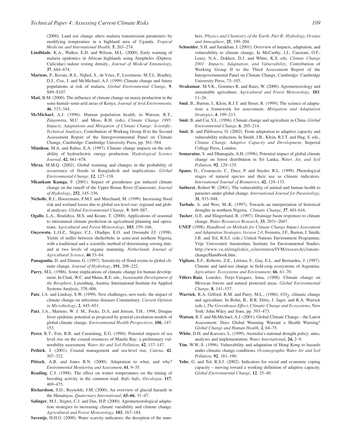(2000). Land use change alters malaria transmission parameters by modifying temperature in a highland area of Uganda. *Tropical Medicine and International Health*, **5**, 263–274.

- **Lindblade**, K.A., Walker, E.D. and Wilson, M.L. (2000). Early warning of malaria epidemics in African highlands using Anopheles (Diptera: Culicidae) indoor resting density., *Journal of Medical Entomology*, **37**, 664–674.
- **Martens**, P., Kovats, R.S., Nijhof, S., de Vries, P., Livermore, M.T.J., Bradley, D.J., Cox, J. and McMichael, A.J. (1999) Climate change and future populations at risk of malaria, *Global Environmental Change*, **9**, S89–S107.
- **Mati**, B.M. (2000). The influence of climate change on maize production in the semi-humid–semi-arid areas of Kenya. *Journal of Arid Environments*, **46**, 333–344.
- **McMichael**, A.J. (1996). Human population health, in Watson, R.T., Zinyowera, M.C. and Moss, R.H. (eds), *Climate Change 1995: Impacts, Adaptations and Mitigation of Climate Change: Scientific-Technical Analyses*, Contribution of Working Group II to the Second Assessment Report of the Intergovernmental Panel on Climate Change, Cambridge: Cambridge University Press, pp. 561–584.
- **Mimikou**, M.A. and Baltas, E.A. (1997). Climate change impacts on the reliability of hydroelectric energy production. *Hydrological Science Journal*, **42**, 661–678.
- **Mirza**, M.M.Q. (2002). Global warming and changes in the probability of occurrence of floods in Bangladesh and implications. *Global Environmental Change*, **12**, 127–138.
- **Mkankam Kamga**, F. (2001). Impact of greenhouse gas induced climate change on the runoff of the Upper Benue River (Cameroon). *Journal of Hydrology*, **252**, 145–156.
- **Nicholls**, R.J., Hoozemans, F.M.J. and Marchand, M. (1999). Increasing flood risk and wetland losses due to global sea-level rise: regional and global analyses. *Global Environmental Change*, **9**, S69–S87.
- **Ogallo**, L.A., Boulahya, M.S. and Keane, T. (2000). Applications of seasonal to interannual climate prediction in agricultural planning and operations. *Agricultural and Forest Meteorology*, **103**, 159–166.
- **Onyewotu**, L.O.Z., Stigter, C.J., Oladipo, E.O. and Owonubi J.J. (1998). Yields of millet between shelterbelts in semi-arid northern Nigeria, with a traditional and a scientific method of determining sowing date, and at two levels of organic manuring. *Netherlands Journal of Agricultural Science*, **46** 53–64.
- **Panagoulia**, D. and Dimou, G. (1997). Sensitivity of flood events to global climate change. *Journal of Hydrology*, **191**, 208–222.
- Parry, M.L. (1986). Some implications of climatic change for human development. In Clark, W.C. and Munn, R.E. eds., *Sustainable Development of the Biosphere*, Laxenburg, Austria: International Institute for Applied Systems Analysis, 378–406.
- **Patz**, J.A. and Lindsay, S.W. (1999). New challenges, new tools: the impact of climate change on infectious diseases Commentary. *Current Opinion in Microbiology*, **2**, 445–451.
- Patz, J.A., Martens, W. J. M., Focks, D.A. and Jettson, T.H.: 1998, Dengue fever epidemic potential as projected by general circulation models of global climate change. *Environmental Health Perspectives*, **106**, 147- 153.
- **Perez**, R.T., Feir, R.B. and Carandang, E.G. (1996). Potential impacts of sea level rise on the coastal resources of Manila Bay: a preliminary vulnerability assessment. *Water Air and Soil Pollution*, **42**, 137–147.
- **Pethick**, J. (2001). Coastal management and sea-level rise, *Catena*, **42**, 307–322.
- **Pittock**, A.B. and Jones R.N. (2000). Adaptation to what, and why? *Environmental Monitoring and Assessment*, **61**, 9–35.
- **Reading**, C.J. (1998). The effect on winter temperatures on the timing of breeding activity in the common toad. *Bufo bufo*, *Oecologia*, **117**, 469–475.
- **Richardson**, S.D., Reynolds, J.M. (2000). An overview of glacial hazards in the Himalayas. *Quaternary International*, **65–66**, 31–47.
- **Salinger**, M.J., Stigter, C.J. and Das, H.P. (2000). Agrometeorological adaptation strategies to increasing climate variability and climate change. *Agricultural and Forest Meteorology*, **103**, 167–184.
- **Savenije**, H.H.G. (2000). Water scarcity indicators; the deception of the num-

bers. *Physics and Chemistry of the Earth, Part B: Hydrology, Oceans and Atmosphere*, **25**, 199–204.

- **Schneider**, S.H. and Sarukhan, J. (2001). Overview of impacts, adaptation, and vulnerability to climate change, In McCarthy, J.J., Canziani, O.F., Leary, N.A., Dokken, D.J. and White, K.S. eds. *Climate Change 2001: Impacts, Adaptation, and Vulnerability*, Contribution of Working Group II to the Third Assessment Report of the Intergovernmental Panel on Climate Change, Cambridge: Cambridge University Press, 75–103.
- **Sivakumar**, M.V.K., Gommes R. and Baier, W. (2000). Agrometeorology and sustainable agriculture, *Agricultural and Forest Meteorology*, **103**, 11–26.
- **Smit**, B., Burton, I., Klein, R.J.T. and Street, R. (1999). The science of adaptation: a framework for assessment, *Mitigation and Adaptation Strategies*, **4**, 199–213.
- **Smit**, B. and Cai, Y.L. (1996). Climate change and agriculture in China. *Global Environmental Change*, **6**, 205–214.
- **Smit**, B. and Pilifosova, O. (2002). From adaptation to adaptive capacity and vulnerability reduction, In Smith, J.B., Klein, R.J.T. and Hug, S. eds., *Climate Change, Adaptive Capacity and Development*, Imperial College Press, London.
- **Somaratne**, S. and Dhanapala, A.H. (1996). Potential impact of global climate change on forest distribution in Sri Lanka, *Water, Air, and Soil Pollution*, **92**, 129–135.
- **Spano**, D., Cesaraccio, C., Duce, P. and Snyder, R.L. (1999). Phenological stages of natural species and their use as climate indicators. *International Journal of Biometrics*, **42**, 124–133.
- **Sutherst**, Robert W. (2001). The vulnerability of animal and human health to parasites under global change. *International Journal for Parasitology*, **31**, 933–948.
- **Tarhule**, A. and Woo, M.-K. (1997). Towards an interpretation of historical droughts in northern Nigeria. *Climatic Change*, **37**, 601-616.
- **Tucker**, G.E. and Slingerland, R. (1997). Drainage basin responses to climate change. *Water Resources Research*, **33**, 2031–2047.
- **UNEP** (1998). *Handbook on Methods for Climate Change Impact Assessment and Adaptation Strategies, Version 2.0*, Feenstra, J.F., Burton, I. Smith, J.B. and Tol, R.S.J. (eds.) United Nations Environment Programme, Vrije Universiteit Amsterdam, Institute for Environmental Studies, http://www.vu.nl/english/o\_o/instituten/IVM/research/climatechange/Handbook.htm.
- **Viglizzo**, E.F., Roberto, Z.E., Lértora, F., Gay, E.L. and Bernardos, J. (1997). Climate and land-use change in field-crop ecosystems of Argentina. *Agriculture. Ecosystems and Environment*, **66**, 61–70.
- **Villers**-**Ruíz**, Lourdes; Trejo-Vázquez, Irma, (1998). Climate change on Mexican forests and natural protected areas. *Global Environmental Change*, **8**, 141–157.
- Warrick, R.A, Gifford, R.M. and Parry, M.L.,  $(1986)$ .  $CO<sub>2</sub>$ , climatic change and agriculture. In Bolin, B., B.R. Döös, J. Jager, and R.A. Warrick (eds.), *The Greenhouse Effect, Climatic Change and Ecosystems*, New York: John Wiley and Sons, pp. 393–473.
- **Watson**, R.T. and McMichael, A.J. (2001). Global Climate Change the Latest Assessment: Does Global Warming Warrant a Health Warning? *Global Change and Human Health*, **2**, 64–75.
- **White**, D.H. and Karssies, L. (1999). Australia's national drought policy: aims, analyses and implementation. *Water International***, 24,** 2–9.
- Yim, W.W.-S. (1996). Vulnerability and adaptation of Hong Kong to hazards under climatic change conditions. *Oceanographic Water Air and Soil Pollution*, **92**, 181–190.
- **Yohe**, G. and Tol, R.S.J. (2002). Indicators for social and economic coping capacity – moving toward a working definition of adaptive capacity. *Global Environmental Change*, **12**, 25–40.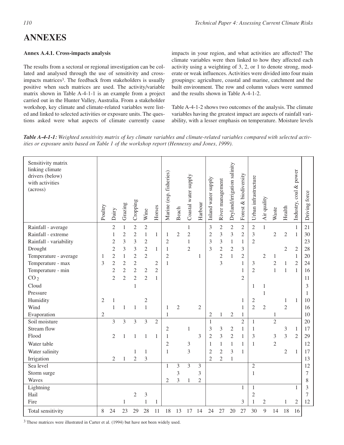#### **Annex A.4.1. Cross-impacts analysis**

The results from a sectoral or regional investigation can be collated and analysed through the use of sensitivity and crossimpacts matrices3. The feedback from stakeholders is usually positive when such matrices are used. The activity/variable matrix shown in Table A-4-1-1 is an example from a project carried out in the Hunter Valley, Australia. From a stakeholder workshop, key climate and climate-related variables were listed and linked to selected activities or exposure units. The questions asked were what aspects of climate currently cause

impacts in your region, and what activities are affected? The climate variables were then linked to how they affected each activity using a weighting of 3, 2, or 1 to denote strong, moderate or weak influences. Activities were divided into four main groupings: agriculture, coastal and marine, catchment and the built environment. The row and column values were summed and the results shown in Table A-4-1-2.

Table A-4-1-2 shows two outcomes of the analysis. The climate variables having the greatest impact are aspects of rainfall variability, with a lesser emphasis on temperature. Moisture levels

*Table A-4-1-1: Weighted sensitivity matrix of key climate variables and climate-related variables compared with selected activities or exposure units based on Table 1 of the workshop report (Hennessy and Jones, 1999).*

| Sensitivity matrix<br>linking climate<br>drivers (below)<br>with activities<br>(across) | Poultry        | Dairy          | Grazing        | Cropping       | Wine           | Horses         | Marine (esp. fisheries) | Beach          | Coastal water supply | Harbour        | Inland water supply | River management | Dryland/irrigation salinity | Forest & biodiversity | Urban infrastructure | Air quality    | Waste          | Health         | Industry, coal & power | Driving force |
|-----------------------------------------------------------------------------------------|----------------|----------------|----------------|----------------|----------------|----------------|-------------------------|----------------|----------------------|----------------|---------------------|------------------|-----------------------------|-----------------------|----------------------|----------------|----------------|----------------|------------------------|---------------|
| Rainfall - average                                                                      |                | $\overline{2}$ | $\mathbf{1}$   | $\sqrt{2}$     | $\sqrt{2}$     |                |                         |                | $\mathbf{1}$         |                | $\mathfrak{Z}$      | $\overline{2}$   | $\sqrt{2}$                  | $\overline{2}$        | $\sqrt{2}$           | $\mathbf{1}$   |                |                | $\mathbf{1}$           | 21            |
| Rainfall - extreme                                                                      |                | 1              | $\overline{2}$ | $\overline{2}$ | $\mathbf{1}$   | 1              | 1                       | $\overline{2}$ | $\overline{2}$       |                | $\overline{2}$      | $\overline{3}$   | $\overline{3}$              | $\overline{2}$        | 3                    |                | $\overline{2}$ | $\overline{2}$ | $\mathbf{1}$           | 30            |
| Rainfall - variability                                                                  |                | 2              | 3              | 3              | $\overline{c}$ |                | $\overline{c}$          |                | $\mathbf{1}$         |                | $\mathfrak{Z}$      | 3                | $\mathbf{1}$                | $\mathbf{1}$          | $\overline{2}$       |                |                |                |                        | 23            |
| Drought                                                                                 |                | $\overline{2}$ | 3              | 3              | $\overline{2}$ | $\mathbf{1}$   | $\mathbf{1}$            |                | $\overline{2}$       |                | $\overline{3}$      | $\overline{2}$   | $\overline{2}$              | 3                     |                      |                |                | $\overline{c}$ | $\mathfrak{2}$         | 28            |
| Temperature - average                                                                   | 1              | $\overline{2}$ | $\mathbf{1}$   | $\overline{2}$ | $\overline{2}$ |                | $\overline{2}$          |                |                      | 1              |                     | $\overline{2}$   | $\mathbf{1}$                | $\overline{2}$        |                      | $\overline{2}$ | 1              |                | $\,1\,$                | 20            |
| Temperature - max                                                                       | 3              | $\overline{2}$ | $\overline{2}$ | $\overline{2}$ |                | $\overline{2}$ | 1                       |                |                      |                |                     | 3                |                             | 1                     | $\mathfrak{Z}$       |                | $\overline{2}$ | $\mathbf{1}$   | $\overline{2}$         | 24            |
| Temperature - min                                                                       |                | $\overline{2}$ | $\overline{2}$ | $\overline{2}$ | $\mathfrak{2}$ | $\overline{c}$ |                         |                |                      |                |                     |                  |                             | 1                     | $\overline{2}$       |                | $\mathbf{1}$   | 1              | $\mathbf{1}$           | 16            |
| CO <sub>2</sub>                                                                         |                | $\overline{2}$ | $\overline{2}$ | $\overline{2}$ | $\overline{2}$ | $\mathbf{1}$   |                         |                |                      |                |                     |                  |                             | $\overline{2}$        |                      |                |                |                |                        | 11            |
| Cloud                                                                                   |                |                |                | 1              |                |                |                         |                |                      |                |                     |                  |                             |                       | 1                    | 1              |                |                |                        | 3             |
| Pressure                                                                                |                |                |                |                |                |                |                         |                |                      |                |                     |                  |                             |                       |                      | 1              |                |                |                        | 1             |
| Humidity                                                                                | $\overline{2}$ | 1              |                |                | 2              |                |                         |                |                      |                |                     |                  |                             | 1                     | $\mathbf{2}$         |                |                | 1              | $\mathbf{1}$           | 10            |
| Wind                                                                                    |                | 1              | 1              | 1              | $\mathbf{1}$   |                | 1                       | $\mathfrak{2}$ |                      | $\mathfrak{2}$ |                     |                  |                             | 1                     | $\overline{2}$       | $\overline{2}$ |                | $\overline{2}$ |                        | 16            |
| Evaporation                                                                             | $\overline{2}$ |                |                |                |                |                | 1                       |                |                      |                | $\mathfrak{2}$      | 1                | 2                           | 1                     |                      |                | 1              |                |                        | 10            |
| Soil moisture                                                                           |                | 3              | 3              | 3              | 3              | $\overline{2}$ |                         |                |                      |                | $\mathbf{1}$        |                  |                             | $\overline{2}$        | $\mathbf{1}$         |                | $\overline{2}$ |                |                        | 20            |
| Stream flow                                                                             |                |                |                |                |                |                | $\mathfrak{2}$          |                | $\mathbf{1}$         |                | $\mathfrak{Z}$      | 3                | $\mathbf{2}$                | 1                     | $\mathbf{1}$         |                |                | 3              | $\mathbf{1}$           | 17            |
| Flood                                                                                   |                | $\overline{2}$ | 1              | 1              | 1              | $\mathbf{1}$   | 1                       |                |                      | 3              | $\overline{2}$      | 3                | $\mathfrak{2}$              | 1                     | 3                    |                | 3              | 3              | $\overline{2}$         | 29            |
| Water table                                                                             |                |                |                |                |                |                | $\overline{2}$          |                | 3                    |                | $\mathbf{1}$        | $\mathbf{1}$     | $\mathbf{1}$                | 1                     | $\mathbf{1}$         |                | $\overline{2}$ |                |                        | 12            |
| Water salinity                                                                          |                |                |                | 1              | 1              |                | $\mathbf{1}$            |                | 3                    |                | $\overline{2}$      | $\overline{2}$   | 3                           | 1                     |                      |                |                | $\overline{2}$ | $\mathbf{1}$           | 17            |
| Irrigation                                                                              |                | $\overline{2}$ | 1              | $\overline{2}$ | 3              |                |                         |                |                      |                | $\overline{2}$      | $\overline{2}$   | $\,1$                       |                       |                      |                |                |                |                        | 13            |
| Sea level                                                                               |                |                |                |                |                |                | $\mathbf{1}$            | 3              | $\overline{3}$       | 3              |                     |                  |                             |                       | $\overline{2}$       |                |                |                |                        | 12            |
| Storm surge                                                                             |                |                |                |                |                |                |                         | 3              |                      | 3              |                     |                  |                             |                       | $\mathbf{1}$         |                |                |                |                        | 7             |
| Waves                                                                                   |                |                |                |                |                |                | 2                       | 3              | 1                    | $\overline{2}$ |                     |                  |                             |                       |                      |                |                |                |                        | 8             |
| Lightning                                                                               |                |                |                |                |                |                |                         |                |                      |                |                     |                  |                             | 1                     | $\mathbf{1}$         |                |                |                | 1                      | 3             |
| Hail                                                                                    |                |                |                | $\overline{2}$ | 3              |                |                         |                |                      |                |                     |                  |                             |                       | $\mathfrak{2}$       |                |                |                |                        | 7             |
| Fire                                                                                    |                |                | 1              |                | 1              | 1              |                         |                |                      |                |                     |                  |                             | 3                     | 1                    | 2              |                | 1              | $\overline{2}$         | 12            |
| Total sensitivity                                                                       | 8              | 24             | 23             | 29             | 28             | 11             | 18                      | 13             | 17                   | 14             | 24                  | 27               | 20                          | 27                    | 30                   | 9              | 14             | 18             | 16                     |               |

3 These matrices were illustrated in Carter et al. (1994) but have not been widely used.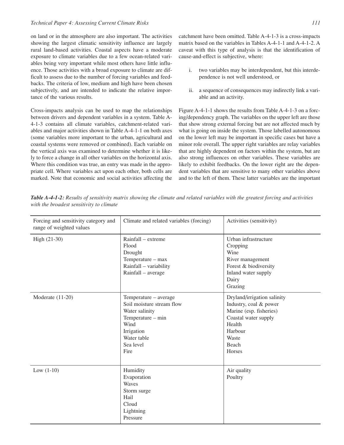on land or in the atmosphere are also important. The activities showing the largest climatic sensitivity influence are largely rural land-based activities. Coastal aspects have a moderate exposure to climate variables due to a few ocean-related variables being very important while most others have little influence. Those activities with a broad exposure to climate are difficult to assess due to the number of forcing variables and feedbacks. The criteria of low, medium and high have been chosen subjectively, and are intended to indicate the relative importance of the various results.

Cross-impacts analysis can be used to map the relationships between drivers and dependent variables in a system. Table A-4-1-3 contains all climate variables, catchment-related variables and major activities shown in Table A-4-1-1 on both axes (some variables more important to the urban, agricultural and coastal systems were removed or combined). Each variable on the vertical axis was examined to determine whether it is likely to force a change in all other variables on the horizontal axis. Where this condition was true, an entry was made in the appropriate cell. Where variables act upon each other, both cells are marked. Note that economic and social activities affecting the

catchment have been omitted. Table A-4-1-3 is a cross-impacts matrix based on the variables in Tables A-4-1-1 and A-4-1-2. A caveat with this type of analysis is that the identification of cause-and-effect is subjective, where:

- i. two variables may be interdependent, but this interdependence is not well understood, or
- a sequence of consequences may indirectly link a variable and an activity.

Figure A-4-1-1 shows the results from Table A-4-1-3 on a forcing/dependency graph. The variables on the upper left are those that show strong external forcing but are not affected much by what is going on inside the system. Those labelled autonomous on the lower left may be important in specific cases but have a minor role overall. The upper right variables are relay variables that are highly dependent on factors within the system, but are also strong influences on other variables. These variables are likely to exhibit feedbacks. On the lower right are the dependent variables that are sensitive to many other variables above and to the left of them. These latter variables are the important

*Table A-4-1-2: Results of sensitivity matrix showing the climate and related variables with the greatest forcing and activities with the broadest sensitivity to climate*

| Forcing and sensitivity category and<br>range of weighted values | Climate and related variables (forcing)                                                                                                             | Activities (sensitivity)                                                                                                                                  |  |  |  |  |  |  |  |
|------------------------------------------------------------------|-----------------------------------------------------------------------------------------------------------------------------------------------------|-----------------------------------------------------------------------------------------------------------------------------------------------------------|--|--|--|--|--|--|--|
| High (21-30)                                                     | Rainfall – extreme<br>Flood<br>Drought<br>Temperature - max<br>Rainfall - variability<br>Rainfall – average                                         | Urban infrastructure<br>Cropping<br>Wine<br>River management<br>Forest & biodiversity<br>Inland water supply<br>Dairy<br>Grazing                          |  |  |  |  |  |  |  |
| Moderate (11-20)                                                 | Temperature - average<br>Soil moisture stream flow<br>Water salinity<br>Temperature - min<br>Wind<br>Irrigation<br>Water table<br>Sea level<br>Fire | Dryland/irrigation salinity<br>Industry, coal & power<br>Marine (esp. fisheries)<br>Coastal water supply<br>Health<br>Harbour<br>Waste<br>Beach<br>Horses |  |  |  |  |  |  |  |
| Low $(1-10)$                                                     | Humidity<br>Evaporation<br>Waves<br>Storm surge<br>Hail<br>Cloud<br>Lightning<br>Pressure                                                           | Air quality<br>Poultry                                                                                                                                    |  |  |  |  |  |  |  |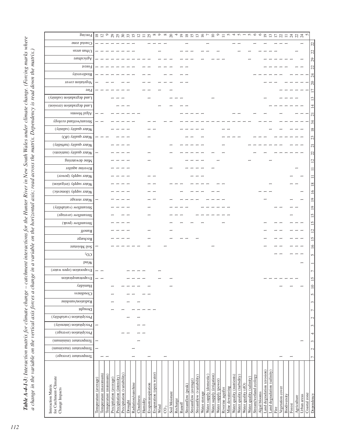| )<br>]<br>ono                                         |                            |
|-------------------------------------------------------|----------------------------|
|                                                       |                            |
|                                                       |                            |
|                                                       |                            |
|                                                       | :<br>יינו                  |
|                                                       | į                          |
| the property of the column                            |                            |
|                                                       |                            |
|                                                       |                            |
| Long:                                                 |                            |
| ļ                                                     |                            |
|                                                       |                            |
| n o o I<br>ℷ                                          |                            |
|                                                       |                            |
|                                                       | i<br>C                     |
| suntate c.                                            |                            |
|                                                       | $\frac{1}{2}$              |
|                                                       |                            |
|                                                       |                            |
| $\alpha$ $\alpha$ $\alpha$ $\alpha$ $\alpha$ $\alpha$ | , manni                    |
| Į                                                     |                            |
|                                                       | )<br>}<br>}<br>f,          |
|                                                       |                            |
|                                                       | יר דחיי המר ה ה            |
|                                                       |                            |
|                                                       | ý                          |
|                                                       |                            |
|                                                       |                            |
|                                                       |                            |
| $\sim$ a Huntor Privation May                         | t current e<br>ׇ֧֕֜֝       |
| L                                                     |                            |
|                                                       |                            |
|                                                       | $\lambda$ , read $\lambda$ |
| $\ddot{ }$                                            |                            |
|                                                       |                            |
| i anno                                                | with your                  |
|                                                       |                            |
|                                                       |                            |
| $\frac{1}{2}$                                         |                            |
|                                                       |                            |
|                                                       |                            |
|                                                       |                            |
| <u>:</u>                                              |                            |
|                                                       |                            |
|                                                       |                            |
| ******                                                |                            |
|                                                       | Ì                          |
|                                                       |                            |
| ļ                                                     |                            |
|                                                       |                            |
|                                                       |                            |
|                                                       |                            |
| $-24440$                                              |                            |
|                                                       |                            |
| $\frac{1}{2}$                                         |                            |
| į                                                     |                            |
|                                                       | cnang                      |
| I                                                     |                            |
|                                                       |                            |
|                                                       |                            |
|                                                       |                            |
|                                                       |                            |
|                                                       |                            |
|                                                       |                            |
|                                                       |                            |
|                                                       |                            |
|                                                       |                            |
|                                                       |                            |
|                                                       |                            |
|                                                       |                            |
|                                                       |                            |
|                                                       |                            |
|                                                       |                            |
|                                                       |                            |
|                                                       |                            |
|                                                       |                            |
|                                                       |                            |
|                                                       |                            |
|                                                       |                            |
| Ì                                                     |                            |
|                                                       |                            |
|                                                       |                            |
|                                                       |                            |
|                                                       |                            |
|                                                       |                            |
| ľ                                                     |                            |

| Coastal zone<br>Urban areas<br>Agriculture<br>Forest<br>Biodiversity<br>Vegetation cover<br>əni <sup>q</sup><br>Land degradation (salinity)<br>Land degradation (erosion)<br>Algal blooms<br>Stream/wetland ecology<br>Water quality (salinity)<br>Water quality (dO)<br>Water quality (turbidity)<br>Water quality (nutrients)<br>Mine dewatering<br>Riverine aquifer<br>Water supply (power)<br>Water supply (irrigation)<br>Water supply (domestic)<br>Water storage<br>(viilidsinsv) wolfmasu2<br>Streamflow (average)<br>Streamflow (peak)<br>Runoff<br>Recharge<br>Soil Moisture<br>CO <sup>5</sup><br>pui <sub>M</sub><br>Evaporation (open water)<br>$\ensuremath{\mathsf{Enqu}}$ and $\ensuremath{\mathsf{Enqu}}$<br><b>ViibimuH</b><br>$\equiv$<br>Cloudiness<br>n<br>Radiation/sunshine<br>$\epsilon$<br>Drought<br>$\overline{ }$<br>Precipitation (variability)<br>2<br>Precipitation (intensity)<br>Precipitation (average)<br>4<br>Temperature (minimum)<br>3<br>Temperature (maximum)<br>$\mathbb{C}^1$<br>Temperature (average)<br>$\overline{\phantom{0}}$<br>$\overline{\phantom{0}}$<br>$\overline{ }$<br>-<br>Γ<br>Land degradation (erosion)<br>Land degradation (salinity)<br>Evaporation (open water)<br>Precipitation (variability)<br>Water supply (domestic)<br>Water supply (irrigation)<br>Water quality (nutrients)<br>Water quality (turbidity)<br>Streamflow (variability)<br>Precipitation (intensity)<br>Water quality (salinity)<br>Water supply (power)<br>Radiation/sunshine<br>Evapotranspiration<br>Water quality (dO)<br>Streamflow (peak)<br>Riverine aquifer<br>Vegetation cover<br>Water storage<br>Algal blooms<br>Biodiversity<br>Urban areas<br>Agriculture<br>Humidity<br>Drought<br>Forest<br>Wind<br>Fire | grionor] Is Go & KI & W W G H H KI & o & & 4 T W W U W C U U H U A U H W O O U U M H X H X H X |                       |                       |                       |                         |  |            |  |                 |               |          |        |                      |  |  |                 |  |                        |  |  |  |  | S            |                 |
|------------------------------------------------------------------------------------------------------------------------------------------------------------------------------------------------------------------------------------------------------------------------------------------------------------------------------------------------------------------------------------------------------------------------------------------------------------------------------------------------------------------------------------------------------------------------------------------------------------------------------------------------------------------------------------------------------------------------------------------------------------------------------------------------------------------------------------------------------------------------------------------------------------------------------------------------------------------------------------------------------------------------------------------------------------------------------------------------------------------------------------------------------------------------------------------------------------------------------------------------------------------------------------------------------------------------------------------------------------------------------------------------------------------------------------------------------------------------------------------------------------------------------------------------------------------------------------------------------------------------------------------------------------------------------------------------------------------------------------------------------------|------------------------------------------------------------------------------------------------|-----------------------|-----------------------|-----------------------|-------------------------|--|------------|--|-----------------|---------------|----------|--------|----------------------|--|--|-----------------|--|------------------------|--|--|--|--|--------------|-----------------|
|                                                                                                                                                                                                                                                                                                                                                                                                                                                                                                                                                                                                                                                                                                                                                                                                                                                                                                                                                                                                                                                                                                                                                                                                                                                                                                                                                                                                                                                                                                                                                                                                                                                                                                                                                            |                                                                                                |                       |                       |                       |                         |  |            |  |                 |               |          |        |                      |  |  |                 |  |                        |  |  |  |  |              | $\mathfrak{L}$  |
|                                                                                                                                                                                                                                                                                                                                                                                                                                                                                                                                                                                                                                                                                                                                                                                                                                                                                                                                                                                                                                                                                                                                                                                                                                                                                                                                                                                                                                                                                                                                                                                                                                                                                                                                                            |                                                                                                |                       |                       |                       |                         |  |            |  |                 |               |          |        |                      |  |  |                 |  |                        |  |  |  |  |              | 22              |
|                                                                                                                                                                                                                                                                                                                                                                                                                                                                                                                                                                                                                                                                                                                                                                                                                                                                                                                                                                                                                                                                                                                                                                                                                                                                                                                                                                                                                                                                                                                                                                                                                                                                                                                                                            |                                                                                                |                       |                       |                       |                         |  |            |  |                 |               |          |        |                      |  |  |                 |  |                        |  |  |  |  |              | 29              |
|                                                                                                                                                                                                                                                                                                                                                                                                                                                                                                                                                                                                                                                                                                                                                                                                                                                                                                                                                                                                                                                                                                                                                                                                                                                                                                                                                                                                                                                                                                                                                                                                                                                                                                                                                            |                                                                                                |                       |                       |                       |                         |  |            |  |                 |               |          |        |                      |  |  |                 |  |                        |  |  |  |  |              | 22              |
|                                                                                                                                                                                                                                                                                                                                                                                                                                                                                                                                                                                                                                                                                                                                                                                                                                                                                                                                                                                                                                                                                                                                                                                                                                                                                                                                                                                                                                                                                                                                                                                                                                                                                                                                                            |                                                                                                |                       |                       |                       |                         |  |            |  |                 |               |          |        |                      |  |  |                 |  |                        |  |  |  |  |              | 24              |
|                                                                                                                                                                                                                                                                                                                                                                                                                                                                                                                                                                                                                                                                                                                                                                                                                                                                                                                                                                                                                                                                                                                                                                                                                                                                                                                                                                                                                                                                                                                                                                                                                                                                                                                                                            |                                                                                                |                       |                       |                       |                         |  |            |  |                 |               |          |        |                      |  |  |                 |  |                        |  |  |  |  |              | 20              |
|                                                                                                                                                                                                                                                                                                                                                                                                                                                                                                                                                                                                                                                                                                                                                                                                                                                                                                                                                                                                                                                                                                                                                                                                                                                                                                                                                                                                                                                                                                                                                                                                                                                                                                                                                            |                                                                                                |                       |                       |                       |                         |  |            |  |                 |               |          |        |                      |  |  |                 |  |                        |  |  |  |  |              | Ξ               |
|                                                                                                                                                                                                                                                                                                                                                                                                                                                                                                                                                                                                                                                                                                                                                                                                                                                                                                                                                                                                                                                                                                                                                                                                                                                                                                                                                                                                                                                                                                                                                                                                                                                                                                                                                            |                                                                                                |                       |                       |                       |                         |  |            |  |                 |               |          |        |                      |  |  |                 |  |                        |  |  |  |  |              | ≌               |
|                                                                                                                                                                                                                                                                                                                                                                                                                                                                                                                                                                                                                                                                                                                                                                                                                                                                                                                                                                                                                                                                                                                                                                                                                                                                                                                                                                                                                                                                                                                                                                                                                                                                                                                                                            |                                                                                                |                       |                       |                       |                         |  |            |  |                 |               |          |        |                      |  |  |                 |  |                        |  |  |  |  |              | $\overline{4}$  |
|                                                                                                                                                                                                                                                                                                                                                                                                                                                                                                                                                                                                                                                                                                                                                                                                                                                                                                                                                                                                                                                                                                                                                                                                                                                                                                                                                                                                                                                                                                                                                                                                                                                                                                                                                            |                                                                                                |                       |                       |                       |                         |  |            |  |                 |               |          |        |                      |  |  |                 |  |                        |  |  |  |  |              | $\overline{c}$  |
|                                                                                                                                                                                                                                                                                                                                                                                                                                                                                                                                                                                                                                                                                                                                                                                                                                                                                                                                                                                                                                                                                                                                                                                                                                                                                                                                                                                                                                                                                                                                                                                                                                                                                                                                                            |                                                                                                |                       |                       |                       |                         |  |            |  |                 |               |          |        |                      |  |  |                 |  |                        |  |  |  |  |              | 34              |
|                                                                                                                                                                                                                                                                                                                                                                                                                                                                                                                                                                                                                                                                                                                                                                                                                                                                                                                                                                                                                                                                                                                                                                                                                                                                                                                                                                                                                                                                                                                                                                                                                                                                                                                                                            |                                                                                                |                       |                       |                       |                         |  |            |  |                 |               |          |        |                      |  |  |                 |  |                        |  |  |  |  |              | $\frac{8}{18}$  |
|                                                                                                                                                                                                                                                                                                                                                                                                                                                                                                                                                                                                                                                                                                                                                                                                                                                                                                                                                                                                                                                                                                                                                                                                                                                                                                                                                                                                                                                                                                                                                                                                                                                                                                                                                            |                                                                                                |                       |                       |                       |                         |  |            |  |                 |               |          |        |                      |  |  |                 |  |                        |  |  |  |  |              | 23              |
|                                                                                                                                                                                                                                                                                                                                                                                                                                                                                                                                                                                                                                                                                                                                                                                                                                                                                                                                                                                                                                                                                                                                                                                                                                                                                                                                                                                                                                                                                                                                                                                                                                                                                                                                                            |                                                                                                |                       |                       |                       |                         |  |            |  |                 |               |          |        |                      |  |  |                 |  |                        |  |  |  |  |              | $\overline{c}$  |
|                                                                                                                                                                                                                                                                                                                                                                                                                                                                                                                                                                                                                                                                                                                                                                                                                                                                                                                                                                                                                                                                                                                                                                                                                                                                                                                                                                                                                                                                                                                                                                                                                                                                                                                                                            |                                                                                                |                       |                       |                       |                         |  |            |  |                 |               |          |        |                      |  |  |                 |  |                        |  |  |  |  |              | 22              |
|                                                                                                                                                                                                                                                                                                                                                                                                                                                                                                                                                                                                                                                                                                                                                                                                                                                                                                                                                                                                                                                                                                                                                                                                                                                                                                                                                                                                                                                                                                                                                                                                                                                                                                                                                            |                                                                                                |                       |                       |                       |                         |  |            |  |                 |               |          |        |                      |  |  |                 |  |                        |  |  |  |  |              | $\overline{c}$  |
|                                                                                                                                                                                                                                                                                                                                                                                                                                                                                                                                                                                                                                                                                                                                                                                                                                                                                                                                                                                                                                                                                                                                                                                                                                                                                                                                                                                                                                                                                                                                                                                                                                                                                                                                                            |                                                                                                |                       |                       |                       |                         |  |            |  |                 |               |          |        |                      |  |  |                 |  |                        |  |  |  |  |              |                 |
|                                                                                                                                                                                                                                                                                                                                                                                                                                                                                                                                                                                                                                                                                                                                                                                                                                                                                                                                                                                                                                                                                                                                                                                                                                                                                                                                                                                                                                                                                                                                                                                                                                                                                                                                                            |                                                                                                |                       |                       |                       |                         |  |            |  |                 |               |          |        |                      |  |  |                 |  |                        |  |  |  |  |              |                 |
|                                                                                                                                                                                                                                                                                                                                                                                                                                                                                                                                                                                                                                                                                                                                                                                                                                                                                                                                                                                                                                                                                                                                                                                                                                                                                                                                                                                                                                                                                                                                                                                                                                                                                                                                                            |                                                                                                |                       |                       |                       |                         |  |            |  |                 |               |          |        |                      |  |  |                 |  |                        |  |  |  |  |              | $\frac{8}{18}$  |
|                                                                                                                                                                                                                                                                                                                                                                                                                                                                                                                                                                                                                                                                                                                                                                                                                                                                                                                                                                                                                                                                                                                                                                                                                                                                                                                                                                                                                                                                                                                                                                                                                                                                                                                                                            |                                                                                                |                       |                       |                       |                         |  |            |  |                 |               |          |        |                      |  |  |                 |  |                        |  |  |  |  |              | $\frac{6}{2}$   |
|                                                                                                                                                                                                                                                                                                                                                                                                                                                                                                                                                                                                                                                                                                                                                                                                                                                                                                                                                                                                                                                                                                                                                                                                                                                                                                                                                                                                                                                                                                                                                                                                                                                                                                                                                            |                                                                                                |                       |                       |                       |                         |  |            |  |                 |               |          |        |                      |  |  |                 |  |                        |  |  |  |  |              | $\overline{19}$ |
|                                                                                                                                                                                                                                                                                                                                                                                                                                                                                                                                                                                                                                                                                                                                                                                                                                                                                                                                                                                                                                                                                                                                                                                                                                                                                                                                                                                                                                                                                                                                                                                                                                                                                                                                                            |                                                                                                |                       |                       |                       |                         |  |            |  |                 |               |          |        |                      |  |  |                 |  |                        |  |  |  |  |              | $\overline{19}$ |
|                                                                                                                                                                                                                                                                                                                                                                                                                                                                                                                                                                                                                                                                                                                                                                                                                                                                                                                                                                                                                                                                                                                                                                                                                                                                                                                                                                                                                                                                                                                                                                                                                                                                                                                                                            |                                                                                                |                       |                       |                       |                         |  |            |  |                 |               |          |        |                      |  |  |                 |  |                        |  |  |  |  |              | 15              |
|                                                                                                                                                                                                                                                                                                                                                                                                                                                                                                                                                                                                                                                                                                                                                                                                                                                                                                                                                                                                                                                                                                                                                                                                                                                                                                                                                                                                                                                                                                                                                                                                                                                                                                                                                            |                                                                                                |                       |                       |                       |                         |  |            |  |                 |               |          |        |                      |  |  |                 |  |                        |  |  |  |  |              | $\frac{5}{2}$   |
|                                                                                                                                                                                                                                                                                                                                                                                                                                                                                                                                                                                                                                                                                                                                                                                                                                                                                                                                                                                                                                                                                                                                                                                                                                                                                                                                                                                                                                                                                                                                                                                                                                                                                                                                                            |                                                                                                |                       |                       |                       |                         |  |            |  |                 |               |          |        |                      |  |  |                 |  |                        |  |  |  |  |              | $\overline{c}$  |
|                                                                                                                                                                                                                                                                                                                                                                                                                                                                                                                                                                                                                                                                                                                                                                                                                                                                                                                                                                                                                                                                                                                                                                                                                                                                                                                                                                                                                                                                                                                                                                                                                                                                                                                                                            |                                                                                                |                       |                       |                       |                         |  |            |  |                 |               |          |        |                      |  |  |                 |  |                        |  |  |  |  |              | $\frac{5}{2}$   |
|                                                                                                                                                                                                                                                                                                                                                                                                                                                                                                                                                                                                                                                                                                                                                                                                                                                                                                                                                                                                                                                                                                                                                                                                                                                                                                                                                                                                                                                                                                                                                                                                                                                                                                                                                            |                                                                                                |                       |                       |                       |                         |  |            |  |                 |               |          |        |                      |  |  |                 |  |                        |  |  |  |  |              | $\overline{16}$ |
|                                                                                                                                                                                                                                                                                                                                                                                                                                                                                                                                                                                                                                                                                                                                                                                                                                                                                                                                                                                                                                                                                                                                                                                                                                                                                                                                                                                                                                                                                                                                                                                                                                                                                                                                                            |                                                                                                |                       |                       |                       |                         |  |            |  |                 |               |          |        |                      |  |  |                 |  |                        |  |  |  |  |              | 5               |
|                                                                                                                                                                                                                                                                                                                                                                                                                                                                                                                                                                                                                                                                                                                                                                                                                                                                                                                                                                                                                                                                                                                                                                                                                                                                                                                                                                                                                                                                                                                                                                                                                                                                                                                                                            |                                                                                                |                       |                       |                       |                         |  |            |  |                 |               |          |        |                      |  |  |                 |  |                        |  |  |  |  |              |                 |
|                                                                                                                                                                                                                                                                                                                                                                                                                                                                                                                                                                                                                                                                                                                                                                                                                                                                                                                                                                                                                                                                                                                                                                                                                                                                                                                                                                                                                                                                                                                                                                                                                                                                                                                                                            |                                                                                                |                       |                       |                       |                         |  |            |  |                 |               |          |        |                      |  |  |                 |  |                        |  |  |  |  |              |                 |
|                                                                                                                                                                                                                                                                                                                                                                                                                                                                                                                                                                                                                                                                                                                                                                                                                                                                                                                                                                                                                                                                                                                                                                                                                                                                                                                                                                                                                                                                                                                                                                                                                                                                                                                                                            |                                                                                                |                       |                       |                       |                         |  |            |  |                 |               |          |        |                      |  |  |                 |  |                        |  |  |  |  |              | S               |
|                                                                                                                                                                                                                                                                                                                                                                                                                                                                                                                                                                                                                                                                                                                                                                                                                                                                                                                                                                                                                                                                                                                                                                                                                                                                                                                                                                                                                                                                                                                                                                                                                                                                                                                                                            |                                                                                                |                       |                       |                       |                         |  |            |  |                 |               |          |        |                      |  |  |                 |  |                        |  |  |  |  |              |                 |
|                                                                                                                                                                                                                                                                                                                                                                                                                                                                                                                                                                                                                                                                                                                                                                                                                                                                                                                                                                                                                                                                                                                                                                                                                                                                                                                                                                                                                                                                                                                                                                                                                                                                                                                                                            |                                                                                                |                       |                       |                       |                         |  |            |  |                 |               |          |        |                      |  |  |                 |  |                        |  |  |  |  |              |                 |
|                                                                                                                                                                                                                                                                                                                                                                                                                                                                                                                                                                                                                                                                                                                                                                                                                                                                                                                                                                                                                                                                                                                                                                                                                                                                                                                                                                                                                                                                                                                                                                                                                                                                                                                                                            |                                                                                                |                       |                       |                       |                         |  |            |  |                 |               |          |        |                      |  |  |                 |  |                        |  |  |  |  |              |                 |
|                                                                                                                                                                                                                                                                                                                                                                                                                                                                                                                                                                                                                                                                                                                                                                                                                                                                                                                                                                                                                                                                                                                                                                                                                                                                                                                                                                                                                                                                                                                                                                                                                                                                                                                                                            |                                                                                                |                       |                       |                       |                         |  |            |  |                 |               |          |        |                      |  |  |                 |  |                        |  |  |  |  |              |                 |
|                                                                                                                                                                                                                                                                                                                                                                                                                                                                                                                                                                                                                                                                                                                                                                                                                                                                                                                                                                                                                                                                                                                                                                                                                                                                                                                                                                                                                                                                                                                                                                                                                                                                                                                                                            |                                                                                                |                       |                       |                       |                         |  |            |  |                 |               |          |        |                      |  |  |                 |  |                        |  |  |  |  |              |                 |
|                                                                                                                                                                                                                                                                                                                                                                                                                                                                                                                                                                                                                                                                                                                                                                                                                                                                                                                                                                                                                                                                                                                                                                                                                                                                                                                                                                                                                                                                                                                                                                                                                                                                                                                                                            |                                                                                                |                       |                       |                       |                         |  |            |  |                 |               |          |        |                      |  |  |                 |  |                        |  |  |  |  |              | 3               |
|                                                                                                                                                                                                                                                                                                                                                                                                                                                                                                                                                                                                                                                                                                                                                                                                                                                                                                                                                                                                                                                                                                                                                                                                                                                                                                                                                                                                                                                                                                                                                                                                                                                                                                                                                            |                                                                                                |                       |                       |                       |                         |  |            |  |                 |               |          |        |                      |  |  |                 |  |                        |  |  |  |  |              |                 |
|                                                                                                                                                                                                                                                                                                                                                                                                                                                                                                                                                                                                                                                                                                                                                                                                                                                                                                                                                                                                                                                                                                                                                                                                                                                                                                                                                                                                                                                                                                                                                                                                                                                                                                                                                            |                                                                                                |                       |                       |                       |                         |  |            |  |                 |               |          |        |                      |  |  |                 |  |                        |  |  |  |  |              |                 |
|                                                                                                                                                                                                                                                                                                                                                                                                                                                                                                                                                                                                                                                                                                                                                                                                                                                                                                                                                                                                                                                                                                                                                                                                                                                                                                                                                                                                                                                                                                                                                                                                                                                                                                                                                            |                                                                                                |                       |                       |                       |                         |  |            |  |                 |               |          |        |                      |  |  |                 |  |                        |  |  |  |  |              |                 |
|                                                                                                                                                                                                                                                                                                                                                                                                                                                                                                                                                                                                                                                                                                                                                                                                                                                                                                                                                                                                                                                                                                                                                                                                                                                                                                                                                                                                                                                                                                                                                                                                                                                                                                                                                            |                                                                                                |                       |                       |                       |                         |  |            |  |                 |               |          |        |                      |  |  |                 |  |                        |  |  |  |  |              |                 |
|                                                                                                                                                                                                                                                                                                                                                                                                                                                                                                                                                                                                                                                                                                                                                                                                                                                                                                                                                                                                                                                                                                                                                                                                                                                                                                                                                                                                                                                                                                                                                                                                                                                                                                                                                            |                                                                                                |                       |                       |                       |                         |  |            |  |                 |               |          |        |                      |  |  |                 |  |                        |  |  |  |  |              |                 |
|                                                                                                                                                                                                                                                                                                                                                                                                                                                                                                                                                                                                                                                                                                                                                                                                                                                                                                                                                                                                                                                                                                                                                                                                                                                                                                                                                                                                                                                                                                                                                                                                                                                                                                                                                            | for Catchment-Climate<br>Interaction Matrix<br>Change Impacts                                  | Temperature (average) | Temperature (maximum) | Temperature (minimum) | Precipitation (average) |  | Cloudiness |  | CO <sub>2</sub> | Soil Moisture | Recharge | Runoff | Streamflow (average) |  |  | Mine dewatering |  | Stream/wetland ecology |  |  |  |  | Coastal zone | Dependency      |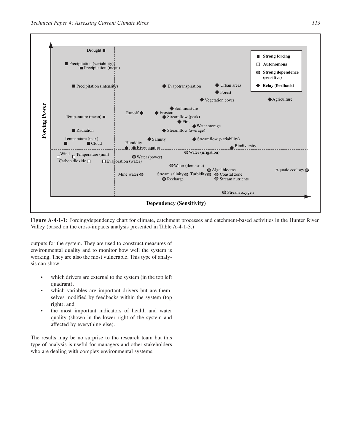

**Figure A-4-1-1:** Forcing/dependency chart for climate, catchment processes and catchment-based activities in the Hunter River Valley (based on the cross-impacts analysis presented in Table A-4-1-3.)

outputs for the system. They are used to construct measures of environmental quality and to monitor how well the system is working. They are also the most vulnerable. This type of analysis can show:

- which drivers are external to the system (in the top left quadrant),
- which variables are important drivers but are themselves modified by feedbacks within the system (top right), and
- the most important indicators of health and water quality (shown in the lower right of the system and affected by everything else).

The results may be no surprise to the research team but this type of analysis is useful for managers and other stakeholders who are dealing with complex environmental systems.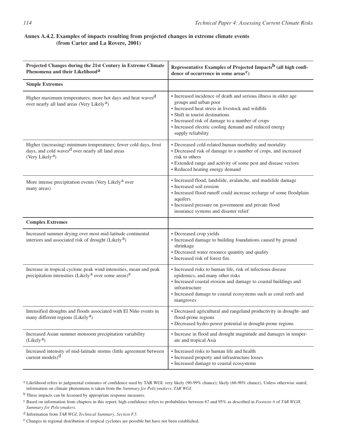#### **Annex A.4.2. Examples of impacts resulting from projected changes in extreme climate events (from Carter and La Rovere, 2001)**

| Projected Changes during the 21st Century in Extreme Climate<br>Phenomena and their Likelihood <sup>a</sup>                                                     | Representative Examples of Projected Impacts <sup>b</sup> (all high confi-<br>dence of occurrence in some areas <sup>c</sup> )                                                                                                                                                                                      |  |  |  |  |  |  |  |  |  |
|-----------------------------------------------------------------------------------------------------------------------------------------------------------------|---------------------------------------------------------------------------------------------------------------------------------------------------------------------------------------------------------------------------------------------------------------------------------------------------------------------|--|--|--|--|--|--|--|--|--|
| <b>Simple Extremes</b>                                                                                                                                          |                                                                                                                                                                                                                                                                                                                     |  |  |  |  |  |  |  |  |  |
| Higher maximum temperatures; more hot days and heat waves <sup>d</sup><br>over nearly all land areas (Very Likely <sup>a</sup> )                                | • Increased incidence of death and serious illness in older age<br>groups and urban poor<br>· Increased heat stress in livestock and wildlife<br>• Shift in tourist destinations<br>• Increased risk of damage to a number of crops<br>· Increased electric cooling demand and reduced energy<br>supply reliability |  |  |  |  |  |  |  |  |  |
| Higher (increasing) minimum temperatures; fewer cold days, frost<br>days, and cold waves <sup>d</sup> over nearly all land areas<br>(Very Likely <sup>a</sup> ) | • Decreased cold-related human morbidity and mortality<br>• Decreased risk of damage to a number of crops, and increased<br>risk to others<br>• Extended range and activity of some pest and disease vectors<br>• Reduced heating energy demand                                                                     |  |  |  |  |  |  |  |  |  |
| More intense precipitation events (Very Likely <sup>a</sup> over<br>many areas)                                                                                 | · Increased flood, landslide, avalanche, and mudslide damage<br>• Increased soil erosion<br>· Increased flood runoff could increase recharge of some floodplain<br>aquifers<br>· Increased pressure on government and private flood<br>insurance systems and disaster relief                                        |  |  |  |  |  |  |  |  |  |
| <b>Complex Extremes</b>                                                                                                                                         |                                                                                                                                                                                                                                                                                                                     |  |  |  |  |  |  |  |  |  |
| Increased summer drying over most mid-latitude continental<br>interiors and associated risk of drought (Likely <sup>a</sup> )                                   | • Decreased crop yields<br>• Increased damage to building foundations caused by ground<br>shrinkage<br>• Decreased water resource quantity and quality<br>· Increased risk of forest fire                                                                                                                           |  |  |  |  |  |  |  |  |  |
| Increase in tropical cyclone peak wind intensities, mean and peak<br>precipitation intensities (Likely <sup>a</sup> over some areas) <sup>e</sup>               | · Increased risks to human life, risk of infectious disease<br>epidemics, and many other risks<br>· Increased coastal erosion and damage to coastal buildings and<br>infrastructure<br>· Increased damage to coastal ecosystems such as coral reefs and<br>mangroves                                                |  |  |  |  |  |  |  |  |  |
| Intensified droughts and floods associated with El Niño events in<br>many different regions (Likely <sup>a</sup> )                                              | • Decreased agricultural and rangeland productivity in drought- and<br>flood-prone regions<br>• Decreased hydro-power potential in drought-prone regions                                                                                                                                                            |  |  |  |  |  |  |  |  |  |
| Increased Asian summer monsoon precipitation variability<br>(Likely <sup>a</sup> )                                                                              | • Increase in flood and drought magnitude and damages in temper-<br>ate and tropical Asia                                                                                                                                                                                                                           |  |  |  |  |  |  |  |  |  |
| Increased intensity of mid-latitude storms (little agreement between<br>current models) $d$                                                                     | • Increased risks to human life and health<br>• Increased property and infrastructure losses<br>· Increased damage to coastal ecosystems                                                                                                                                                                            |  |  |  |  |  |  |  |  |  |

a Likelihood refers to judgmental estimates of confidence used by TAR WGI: very likely (90-99% chance); likely (66-90% chance). Unless otherwise stated, information on climate phenomena is taken from the *Summary for Policymakers, TAR WGI.*

d Information from *TAR WGI*, *Technical Summary*, *Section F.5*.

e Changes in regional distribution of tropical cyclones are possible but have not been established.

b These impacts can be lessened by appropriate response measures.

c Based on information from chapters in this report; high confidence refers to probabilities between 67 and 95% as described in *Footnote 6* of *TAR WGII*, *Summary for Policymakers*.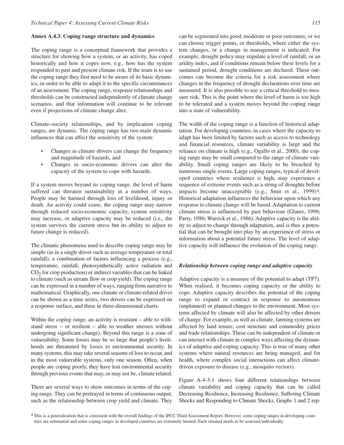#### **Annex A.4.3. Coping range structure and dynamics**

The coping range is a conceptual framework that provides a structure for showing how a system, or an activity, has coped historically and how it copes now, e.g., how has the system responded to past and present climate risk. If the team is to use the coping range they first need to be aware of its basic dynamics, in order to be able to adapt it to the specific circumstances of an assessment. The coping range, response relationships and thresholds can be constructed independently of climate change scenarios, and that information will continue to be relevant even if projections of climate change alter.

Climate–society relationships, and by implication coping ranges, are dynamic. The coping range has two main dynamic influences that can affect the sensitivity of the system:

- Changes in climate drivers can change the frequency and magnitude of hazards, and
- Changes in socio-economic drivers can alter the capacity of the system to cope with hazards.

If a system moves beyond its coping range, the level of harm suffered can threaten sustainability in a number of ways. People may be harmed through loss of livelihood, injury or death. An activity could cease, the coping range may narrow through reduced socio-economic capacity, system sensitivity may increase, or adaptive capacity may be reduced (i.e., the system survives the current stress but its ability to adjust to future change is reduced).

The climatic phenomena used to describe coping range may be simple (as in a single driver such as average temperature or total rainfall), a combination of factors influencing a process (e.g., temperature, rainfall, photosynthetically active radiation and  $CO<sub>2</sub>$  for crop production) or indirect variables that can be linked to climate (such as stream flow or crop yield). The coping range can be expressed in a number of ways, ranging from narrative to mathematical. Graphically, one climate or climate-related driver can be shown as a time series, two drivers can be expressed on a response surface, and three in three-dimensional charts.

Within the coping range, an activity is resistant – able to withstand stress – or resilient – able to weather stresses without undergoing significant change). Beyond this range is a zone of vulnerability. Some losses may be so large that people's livelihoods are threatened by losses to environmental security. In many systems, this may take several seasons of loss to occur, and in the most vulnerable systems, only one season. Often, when people are coping poorly, they have lost environmental security through previous events that may, or may not be, climate related.

There are several ways to show outcomes in terms of the coping range. They can be portrayed in terms of continuous output, such as the relationship between crop yield and climate. They

can be segmented into good, moderate or poor outcomes; or we can choose trigger points, or thresholds, where either the system changes, or a change in management is indicated. For example, drought policy may stipulate a level of rainfall, or an aridity index, and if conditions remain below these levels for a sustained period, drought conditions are declared. These outcomes can become the criteria for a risk assessment where changes in the frequency of drought declarations over time are measured. It is also possible to use a critical threshold to measure risk. This is the point where the level of harm is too high to be tolerated and a system moves beyond the coping range into a state of vulnerability.

The width of the coping range is a function of historical adaptation. For developing countries, in cases where the capacity to adapt has been limited by factors such as access to technology and financial resources, climate variability is large and the reliance on climate is high (e.g., Ogallo et al., 2000), the coping range may be small compared to the range of climate variability. Small coping ranges are likely to be breached by numerous single events. Large coping ranges, typical of developed countries where resilience is high, may experience a sequence of extreme events such as a string of droughts before impacts become unacceptable (e.g., Smit et al., 1999) 4. Historical adaptation influences the behaviour upon which any response to climate change will be based. Adaptation to current climate stress is influenced by past behaviour (Glantz, 1996; Parry, 1986; Warrick et al., 1986). Adaptive capacity is the ability to adjust to change through adaptation, and is thus a potential that can be brought into play by an experience of stress or information about a potential future stress. The level of adaptive capacity will influence the evolution of the coping range.

#### *Relationship between coping range and adaptive capacity*

Adaptive capacity is a measure of the potential to adapt (TP7). When realised, it becomes coping capacity or the ability to cope. Adaptive capacity describes the potential of the coping range to expand or contract in response to autonomous (unplanned) or planned changes to the environment. Most systems affected by climate will also be affected by other drivers of change. For example, as well as climate, farming systems are affected by land tenure, cost structure and commodity prices and trade relationships. These can be independent of climate or can interact with climate in complex ways affecting the dynamics of adaptive and coping capacity. This is true of many other systems where natural resources are being managed, and for health, where complex social interactions can affect climatedriven exposure to disease (e.g., mosquito vectors).

Figure A-4-3-1 shows four different relationships between climate variability and coping capacity that can be called Decreasing Resilience, Increasing Resilience, Suffering Climate Shocks and Responding to Climate Shocks. Graphs 1 and 2 rep-

 $4$  This is a generalisation that is consistent with the overall findings of the IPCC Third Assessment Report. However, some coping ranges in developing countries are substantial and some coping ranges in developed countries are extremely limited. Each situated needs to be assessed individually.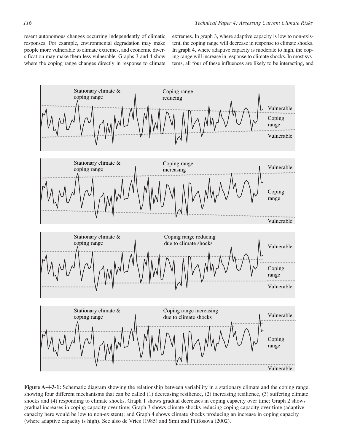resent autonomous changes occurring independently of climatic responses. For example, environmental degradation may make people more vulnerable to climate extremes, and economic diversification may make them less vulnerable. Graphs 3 and 4 show where the coping range changes directly in response to climate

extremes. In graph 3, where adaptive capacity is low to non-existent, the coping range will decrease in response to climate shocks. In graph 4, where adaptive capacity is moderate to high, the coping range will increase in response to climate shocks. In most systems, all four of these influences are likely to be interacting, and



**Figure A-4-3-1:** Schematic diagram showing the relationship between variability in a stationary climate and the coping range, showing four different mechanisms that can be called (1) decreasing resilience, (2) increasing resilience, (3) suffering climate shocks and (4) responding to climate shocks. Graph 1 shows gradual decreases in coping capacity over time; Graph 2 shows gradual increases in coping capacity over time; Graph 3 shows climate shocks reducing coping capacity over time (adaptive capacity here would be low to non-existent); and Graph 4 shows climate shocks producing an increase in coping capacity (where adaptive capacity is high). See also de Vries (1985) and Smit and Pilifosova (2002).